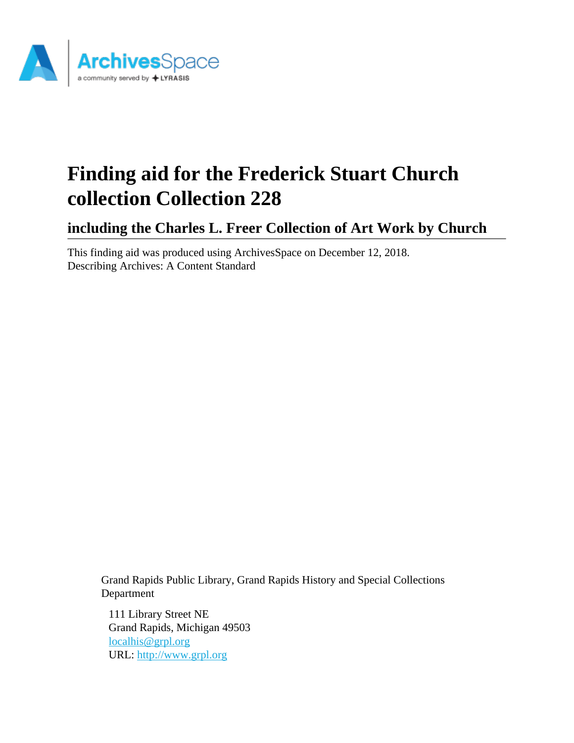

# **Finding aid for the Frederick Stuart Church collection Collection 228**

**including the Charles L. Freer Collection of Art Work by Church**

This finding aid was produced using ArchivesSpace on December 12, 2018. Describing Archives: A Content Standard

Grand Rapids Public Library, Grand Rapids History and Special Collections Department

111 Library Street NE Grand Rapids, Michigan 49503 [localhis@grpl.org](mailto:localhis@grpl.org) URL:<http://www.grpl.org>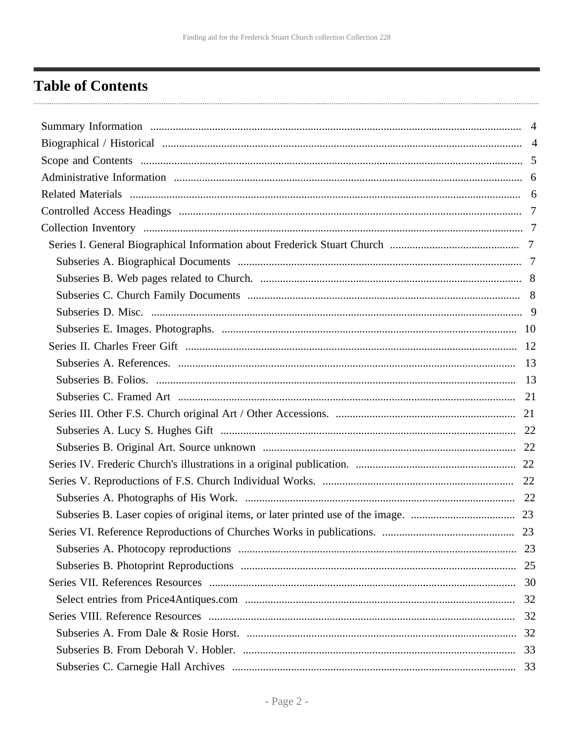## <span id="page-1-0"></span>**Table of Contents**

| 32 |
|----|
| 32 |
|    |
|    |
|    |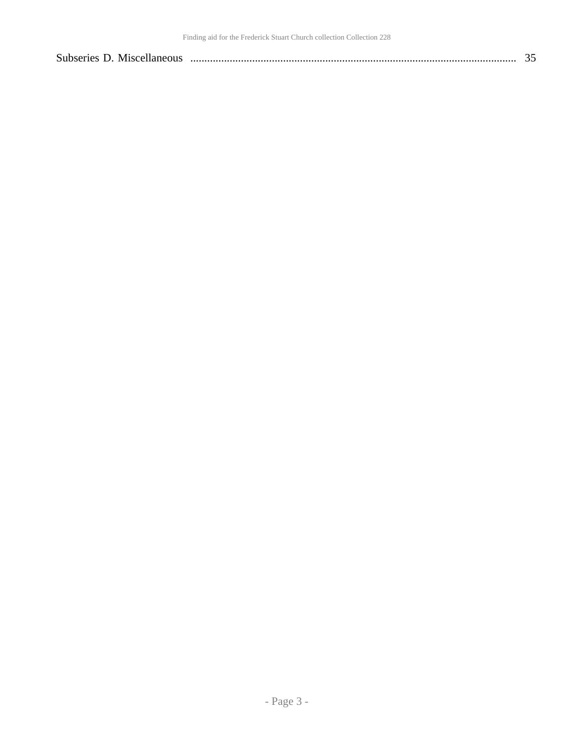| Subseries D. Miscellaneous |  |  |  |
|----------------------------|--|--|--|
|----------------------------|--|--|--|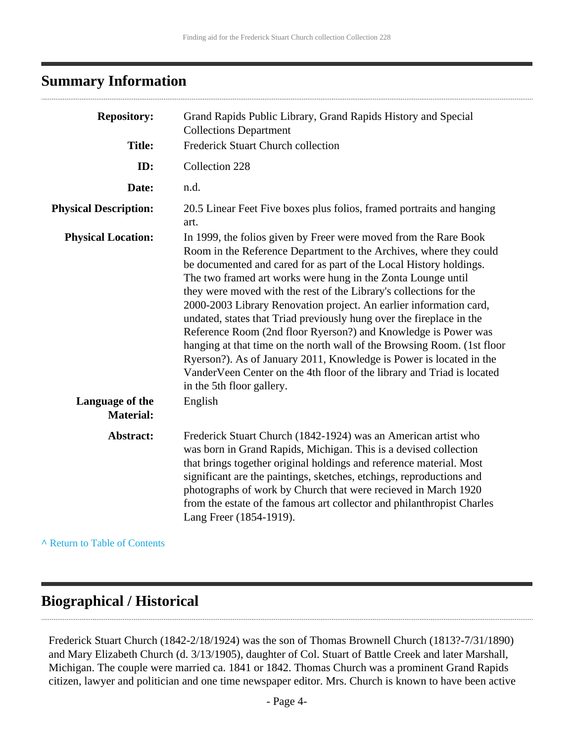## <span id="page-3-0"></span>**Summary Information**

| <b>Repository:</b>                  | Grand Rapids Public Library, Grand Rapids History and Special<br><b>Collections Department</b>                                                                                                                                                                                                                                                                                                                                                                                                                                                                                                                                                                                                                                                                                                                              |
|-------------------------------------|-----------------------------------------------------------------------------------------------------------------------------------------------------------------------------------------------------------------------------------------------------------------------------------------------------------------------------------------------------------------------------------------------------------------------------------------------------------------------------------------------------------------------------------------------------------------------------------------------------------------------------------------------------------------------------------------------------------------------------------------------------------------------------------------------------------------------------|
| <b>Title:</b>                       | Frederick Stuart Church collection                                                                                                                                                                                                                                                                                                                                                                                                                                                                                                                                                                                                                                                                                                                                                                                          |
| ID:                                 | Collection 228                                                                                                                                                                                                                                                                                                                                                                                                                                                                                                                                                                                                                                                                                                                                                                                                              |
| Date:                               | n.d.                                                                                                                                                                                                                                                                                                                                                                                                                                                                                                                                                                                                                                                                                                                                                                                                                        |
| <b>Physical Description:</b>        | 20.5 Linear Feet Five boxes plus folios, framed portraits and hanging<br>art.                                                                                                                                                                                                                                                                                                                                                                                                                                                                                                                                                                                                                                                                                                                                               |
| <b>Physical Location:</b>           | In 1999, the folios given by Freer were moved from the Rare Book<br>Room in the Reference Department to the Archives, where they could<br>be documented and cared for as part of the Local History holdings.<br>The two framed art works were hung in the Zonta Lounge until<br>they were moved with the rest of the Library's collections for the<br>2000-2003 Library Renovation project. An earlier information card,<br>undated, states that Triad previously hung over the fireplace in the<br>Reference Room (2nd floor Ryerson?) and Knowledge is Power was<br>hanging at that time on the north wall of the Browsing Room. (1st floor<br>Ryerson?). As of January 2011, Knowledge is Power is located in the<br>VanderVeen Center on the 4th floor of the library and Triad is located<br>in the 5th floor gallery. |
| Language of the<br><b>Material:</b> | English                                                                                                                                                                                                                                                                                                                                                                                                                                                                                                                                                                                                                                                                                                                                                                                                                     |
| Abstract:                           | Frederick Stuart Church (1842-1924) was an American artist who<br>was born in Grand Rapids, Michigan. This is a devised collection<br>that brings together original holdings and reference material. Most<br>significant are the paintings, sketches, etchings, reproductions and<br>photographs of work by Church that were recieved in March 1920<br>from the estate of the famous art collector and philanthropist Charles<br>Lang Freer (1854-1919).                                                                                                                                                                                                                                                                                                                                                                    |
|                                     |                                                                                                                                                                                                                                                                                                                                                                                                                                                                                                                                                                                                                                                                                                                                                                                                                             |

**^** [Return to Table of Contents](#page-1-0)

## <span id="page-3-1"></span>**Biographical / Historical**

Frederick Stuart Church (1842-2/18/1924) was the son of Thomas Brownell Church (1813?-7/31/1890) and Mary Elizabeth Church (d. 3/13/1905), daughter of Col. Stuart of Battle Creek and later Marshall, Michigan. The couple were married ca. 1841 or 1842. Thomas Church was a prominent Grand Rapids citizen, lawyer and politician and one time newspaper editor. Mrs. Church is known to have been active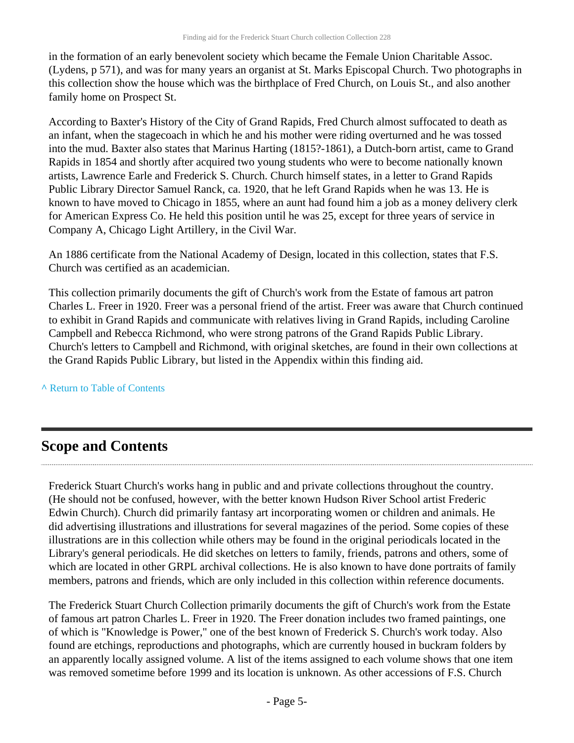in the formation of an early benevolent society which became the Female Union Charitable Assoc. (Lydens, p 571), and was for many years an organist at St. Marks Episcopal Church. Two photographs in this collection show the house which was the birthplace of Fred Church, on Louis St., and also another family home on Prospect St.

According to Baxter's History of the City of Grand Rapids, Fred Church almost suffocated to death as an infant, when the stagecoach in which he and his mother were riding overturned and he was tossed into the mud. Baxter also states that Marinus Harting (1815?-1861), a Dutch-born artist, came to Grand Rapids in 1854 and shortly after acquired two young students who were to become nationally known artists, Lawrence Earle and Frederick S. Church. Church himself states, in a letter to Grand Rapids Public Library Director Samuel Ranck, ca. 1920, that he left Grand Rapids when he was 13. He is known to have moved to Chicago in 1855, where an aunt had found him a job as a money delivery clerk for American Express Co. He held this position until he was 25, except for three years of service in Company A, Chicago Light Artillery, in the Civil War.

An 1886 certificate from the National Academy of Design, located in this collection, states that F.S. Church was certified as an academician.

This collection primarily documents the gift of Church's work from the Estate of famous art patron Charles L. Freer in 1920. Freer was a personal friend of the artist. Freer was aware that Church continued to exhibit in Grand Rapids and communicate with relatives living in Grand Rapids, including Caroline Campbell and Rebecca Richmond, who were strong patrons of the Grand Rapids Public Library. Church's letters to Campbell and Richmond, with original sketches, are found in their own collections at the Grand Rapids Public Library, but listed in the Appendix within this finding aid.

**^** [Return to Table of Contents](#page-1-0)

## <span id="page-4-0"></span>**Scope and Contents**

Frederick Stuart Church's works hang in public and and private collections throughout the country. (He should not be confused, however, with the better known Hudson River School artist Frederic Edwin Church). Church did primarily fantasy art incorporating women or children and animals. He did advertising illustrations and illustrations for several magazines of the period. Some copies of these illustrations are in this collection while others may be found in the original periodicals located in the Library's general periodicals. He did sketches on letters to family, friends, patrons and others, some of which are located in other GRPL archival collections. He is also known to have done portraits of family members, patrons and friends, which are only included in this collection within reference documents.

The Frederick Stuart Church Collection primarily documents the gift of Church's work from the Estate of famous art patron Charles L. Freer in 1920. The Freer donation includes two framed paintings, one of which is "Knowledge is Power," one of the best known of Frederick S. Church's work today. Also found are etchings, reproductions and photographs, which are currently housed in buckram folders by an apparently locally assigned volume. A list of the items assigned to each volume shows that one item was removed sometime before 1999 and its location is unknown. As other accessions of F.S. Church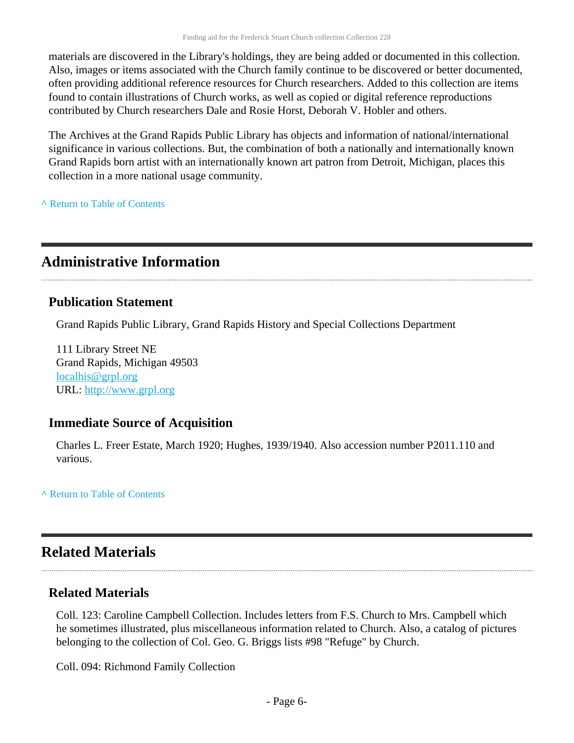materials are discovered in the Library's holdings, they are being added or documented in this collection. Also, images or items associated with the Church family continue to be discovered or better documented, often providing additional reference resources for Church researchers. Added to this collection are items found to contain illustrations of Church works, as well as copied or digital reference reproductions contributed by Church researchers Dale and Rosie Horst, Deborah V. Hobler and others.

The Archives at the Grand Rapids Public Library has objects and information of national/international significance in various collections. But, the combination of both a nationally and internationally known Grand Rapids born artist with an internationally known art patron from Detroit, Michigan, places this collection in a more national usage community.

**^** [Return to Table of Contents](#page-1-0)

## <span id="page-5-0"></span>**Administrative Information**

### **Publication Statement**

Grand Rapids Public Library, Grand Rapids History and Special Collections Department

111 Library Street NE Grand Rapids, Michigan 49503 [localhis@grpl.org](mailto:localhis@grpl.org) URL:<http://www.grpl.org>

#### **Immediate Source of Acquisition**

Charles L. Freer Estate, March 1920; Hughes, 1939/1940. Also accession number P2011.110 and various.

**^** [Return to Table of Contents](#page-1-0)

## <span id="page-5-1"></span>**Related Materials**

### **Related Materials**

Coll. 123: Caroline Campbell Collection. Includes letters from F.S. Church to Mrs. Campbell which he sometimes illustrated, plus miscellaneous information related to Church. Also, a catalog of pictures belonging to the collection of Col. Geo. G. Briggs lists #98 "Refuge" by Church.

Coll. 094: Richmond Family Collection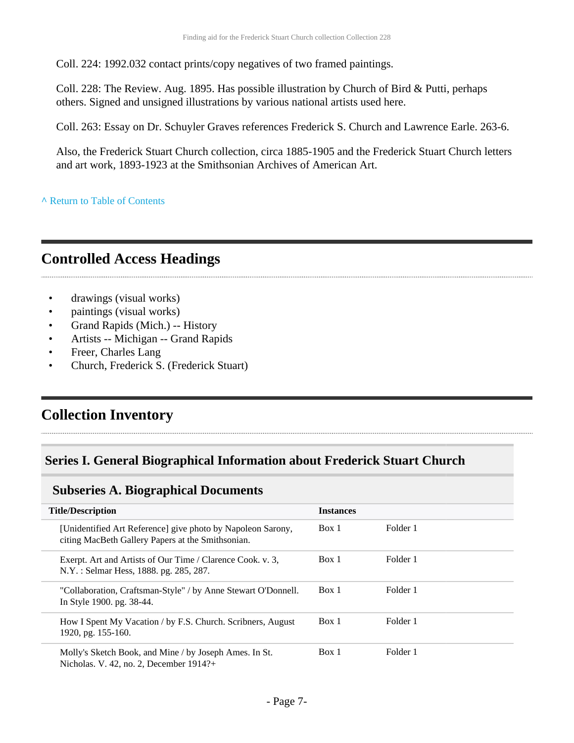Coll. 224: 1992.032 contact prints/copy negatives of two framed paintings.

Coll. 228: The Review. Aug. 1895. Has possible illustration by Church of Bird & Putti, perhaps others. Signed and unsigned illustrations by various national artists used here.

Coll. 263: Essay on Dr. Schuyler Graves references Frederick S. Church and Lawrence Earle. 263-6.

Also, the Frederick Stuart Church collection, circa 1885-1905 and the Frederick Stuart Church letters and art work, 1893-1923 at the Smithsonian Archives of American Art.

**^** [Return to Table of Contents](#page-1-0)

## <span id="page-6-0"></span>**Controlled Access Headings**

- drawings (visual works)
- paintings (visual works)
- Grand Rapids (Mich.) -- History
- Artists -- Michigan -- Grand Rapids
- Freer, Charles Lang
- Church, Frederick S. (Frederick Stuart)

## <span id="page-6-1"></span>**Collection Inventory**

### <span id="page-6-2"></span>**Series I. General Biographical Information about Frederick Stuart Church**

#### <span id="page-6-3"></span>**Subseries A. Biographical Documents**

| <b>Title/Description</b>                                                                                         | <b>Instances</b> |          |
|------------------------------------------------------------------------------------------------------------------|------------------|----------|
| [Unidentified Art Reference] give photo by Napoleon Sarony,<br>citing MacBeth Gallery Papers at the Smithsonian. | Box 1            | Folder 1 |
| Exerpt. Art and Artists of Our Time / Clarence Cook. v. 3.<br>N.Y.: Selmar Hess, 1888. pg. 285, 287.             | Box 1            | Folder 1 |
| "Collaboration, Craftsman-Style" / by Anne Stewart O'Donnell.<br>In Style 1900. pg. 38-44.                       | Box 1            | Folder 1 |
| How I Spent My Vacation / by F.S. Church. Scribners, August<br>1920, pg. 155-160.                                | Box 1            | Folder 1 |
| Molly's Sketch Book, and Mine / by Joseph Ames. In St.<br>Nicholas. V. 42, no. 2, December 1914?+                | Box 1            | Folder 1 |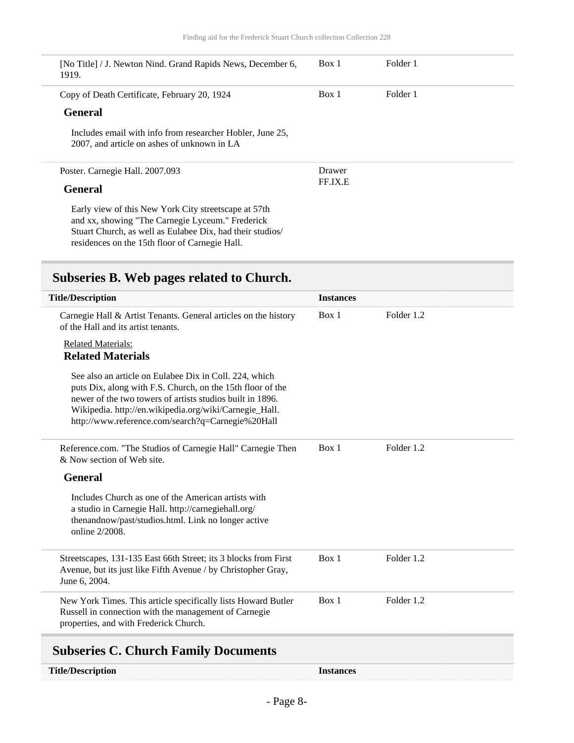| [No Title] / J. Newton Nind. Grand Rapids News, December 6,<br>1919.                                                                                                                                                     | Box 1   | Folder 1 |  |
|--------------------------------------------------------------------------------------------------------------------------------------------------------------------------------------------------------------------------|---------|----------|--|
| Copy of Death Certificate, February 20, 1924                                                                                                                                                                             | Box 1   | Folder 1 |  |
| <b>General</b>                                                                                                                                                                                                           |         |          |  |
| Includes email with info from researcher Hobler, June 25,<br>2007, and article on ashes of unknown in LA                                                                                                                 |         |          |  |
| Poster. Carnegie Hall. 2007.093                                                                                                                                                                                          | Drawer  |          |  |
| <b>General</b>                                                                                                                                                                                                           | FF.IX.E |          |  |
| Early view of this New York City streets cape at 57th<br>and xx, showing "The Carnegie Lyceum." Frederick<br>Stuart Church, as well as Eulabee Dix, had their studios/<br>residences on the 15th floor of Carnegie Hall. |         |          |  |

## <span id="page-7-0"></span>**Subseries B. Web pages related to Church.**

| <b>Title/Description</b>                                                                                                                                                                                                                                                                         | <b>Instances</b> |            |
|--------------------------------------------------------------------------------------------------------------------------------------------------------------------------------------------------------------------------------------------------------------------------------------------------|------------------|------------|
| Carnegie Hall & Artist Tenants. General articles on the history<br>of the Hall and its artist tenants.                                                                                                                                                                                           | Box 1            | Folder 1.2 |
| <b>Related Materials:</b><br><b>Related Materials</b>                                                                                                                                                                                                                                            |                  |            |
| See also an article on Eulabee Dix in Coll. 224, which<br>puts Dix, along with F.S. Church, on the 15th floor of the<br>newer of the two towers of artists studios built in 1896.<br>Wikipedia. http://en.wikipedia.org/wiki/Carnegie_Hall.<br>http://www.reference.com/search?q=Carnegie%20Hall |                  |            |
| Reference.com. "The Studios of Carnegie Hall" Carnegie Then<br>& Now section of Web site.                                                                                                                                                                                                        | Box 1            | Folder 1.2 |
| <b>General</b>                                                                                                                                                                                                                                                                                   |                  |            |
| Includes Church as one of the American artists with<br>a studio in Carnegie Hall. http://carnegiehall.org/<br>thenandnow/past/studios.html. Link no longer active<br>online 2/2008.                                                                                                              |                  |            |
| Streetscapes, 131-135 East 66th Street; its 3 blocks from First<br>Avenue, but its just like Fifth Avenue / by Christopher Gray,<br>June 6, 2004.                                                                                                                                                | Box 1            | Folder 1.2 |
| New York Times. This article specifically lists Howard Butler<br>Russell in connection with the management of Carnegie<br>properties, and with Frederick Church.                                                                                                                                 | Box 1            | Folder 1.2 |
|                                                                                                                                                                                                                                                                                                  |                  |            |

## <span id="page-7-1"></span>**Subseries C. Church Family Documents**

| <b>Title/Description</b> | <b>Instances</b> |
|--------------------------|------------------|
|--------------------------|------------------|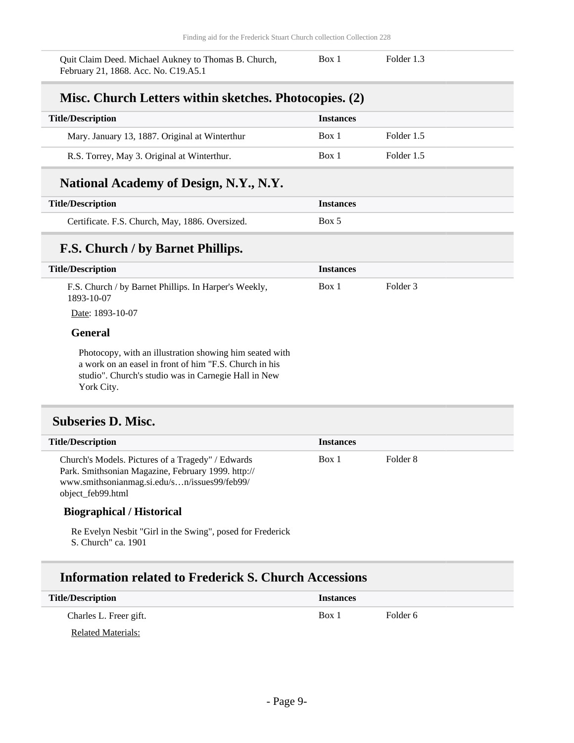Quit Claim Deed. Michael Aukney to Thomas B. Church, February 21, 1868. Acc. No. C19.A5.1

Box 1 Folder 1.3

### **Misc. Church Letters within sketches. Photocopies. (2)**

| <b>Title/Description</b>                       | <b>Instances</b> |            |
|------------------------------------------------|------------------|------------|
| Mary. January 13, 1887. Original at Winterthur | Box 1            | Folder 1.5 |
| R.S. Torrey, May 3. Original at Winterthur.    | Box 1            | Folder 1.5 |

#### **National Academy of Design, N.Y., N.Y.**

| <b>Title/Description</b>                        | <i><u><b>Instances</b></u></i> |
|-------------------------------------------------|--------------------------------|
| Certificate. F.S. Church, May, 1886. Oversized. | Box 5                          |

### **F.S. Church / by Barnet Phillips.**

| <b>Title/Description</b>                                                                                                                                                                | <b>Instances</b> |          |
|-----------------------------------------------------------------------------------------------------------------------------------------------------------------------------------------|------------------|----------|
| F.S. Church / by Barnet Phillips. In Harper's Weekly,<br>1893-10-07                                                                                                                     | Box 1            | Folder 3 |
| Date: 1893-10-07                                                                                                                                                                        |                  |          |
| <b>General</b>                                                                                                                                                                          |                  |          |
| Photocopy, with an illustration showing him seated with<br>a work on an easel in front of him "F.S. Church in his<br>studio". Church's studio was in Carnegie Hall in New<br>York City. |                  |          |

# <span id="page-8-0"></span>**Subseries D. Misc.**

| <b>Title/Description</b>                                                                                                                                                     | <b>Instances</b> |          |  |
|------------------------------------------------------------------------------------------------------------------------------------------------------------------------------|------------------|----------|--|
| Church's Models. Pictures of a Tragedy" / Edwards<br>Park. Smithsonian Magazine, February 1999. http://<br>www.smithsonianmag.si.edu/sn/issues99/feb99/<br>object_feb99.html | Box 1            | Folder 8 |  |

#### **Biographical / Historical**

Re Evelyn Nesbit "Girl in the Swing", posed for Frederick S. Church" ca. 1901

### **Information related to Frederick S. Church Accessions**

| <b>Title/Description</b> | <b>Instances</b> |          |
|--------------------------|------------------|----------|
| Charles L. Freer gift.   | Box 1            | Folder 6 |
| Related Materials:       |                  |          |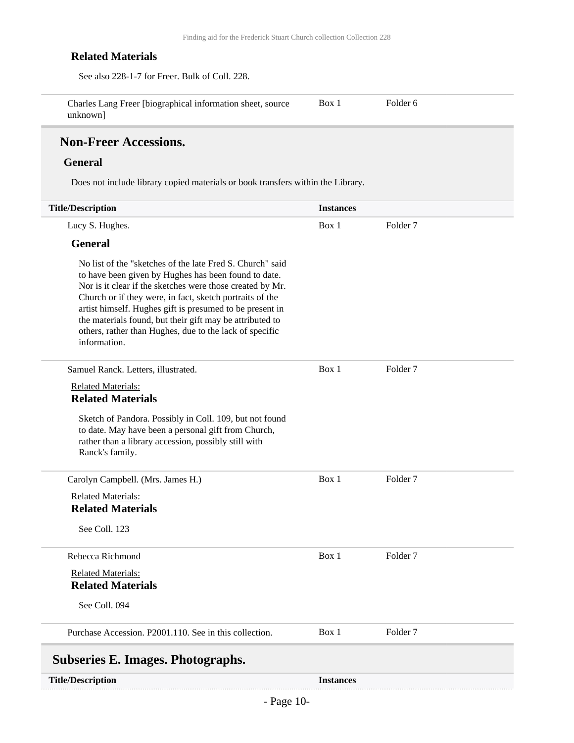#### **Related Materials**

See also 228-1-7 for Freer. Bulk of Coll. 228. Charles Lang Freer [biographical information sheet, source Box 1 Folder 6

unknown]

### **Non-Freer Accessions.**

#### **General**

Does not include library copied materials or book transfers within the Library.

<span id="page-9-0"></span>

| <b>Title/Description</b>                                                                                                                                                                                                                                                                                                                                                                                                                      | <b>Instances</b> |                     |  |
|-----------------------------------------------------------------------------------------------------------------------------------------------------------------------------------------------------------------------------------------------------------------------------------------------------------------------------------------------------------------------------------------------------------------------------------------------|------------------|---------------------|--|
| Lucy S. Hughes.                                                                                                                                                                                                                                                                                                                                                                                                                               | Box 1            | Folder <sub>7</sub> |  |
| <b>General</b>                                                                                                                                                                                                                                                                                                                                                                                                                                |                  |                     |  |
| No list of the "sketches of the late Fred S. Church" said<br>to have been given by Hughes has been found to date.<br>Nor is it clear if the sketches were those created by Mr.<br>Church or if they were, in fact, sketch portraits of the<br>artist himself. Hughes gift is presumed to be present in<br>the materials found, but their gift may be attributed to<br>others, rather than Hughes, due to the lack of specific<br>information. |                  |                     |  |
| Samuel Ranck. Letters, illustrated.                                                                                                                                                                                                                                                                                                                                                                                                           | Box 1            | Folder <sub>7</sub> |  |
| <b>Related Materials:</b><br><b>Related Materials</b>                                                                                                                                                                                                                                                                                                                                                                                         |                  |                     |  |
| Sketch of Pandora. Possibly in Coll. 109, but not found<br>to date. May have been a personal gift from Church,<br>rather than a library accession, possibly still with<br>Ranck's family.                                                                                                                                                                                                                                                     |                  |                     |  |
| Carolyn Campbell. (Mrs. James H.)                                                                                                                                                                                                                                                                                                                                                                                                             | Box 1            | Folder <sub>7</sub> |  |
| <b>Related Materials:</b><br><b>Related Materials</b>                                                                                                                                                                                                                                                                                                                                                                                         |                  |                     |  |
| See Coll. 123                                                                                                                                                                                                                                                                                                                                                                                                                                 |                  |                     |  |
| Rebecca Richmond                                                                                                                                                                                                                                                                                                                                                                                                                              | Box 1            | Folder <sub>7</sub> |  |
| <b>Related Materials:</b><br><b>Related Materials</b>                                                                                                                                                                                                                                                                                                                                                                                         |                  |                     |  |
| See Coll. 094                                                                                                                                                                                                                                                                                                                                                                                                                                 |                  |                     |  |
| Purchase Accession. P2001.110. See in this collection.                                                                                                                                                                                                                                                                                                                                                                                        | Box 1            | Folder <sub>7</sub> |  |
| <b>Subseries E. Images. Photographs.</b>                                                                                                                                                                                                                                                                                                                                                                                                      |                  |                     |  |
| <b>Title/Description</b>                                                                                                                                                                                                                                                                                                                                                                                                                      | <b>Instances</b> |                     |  |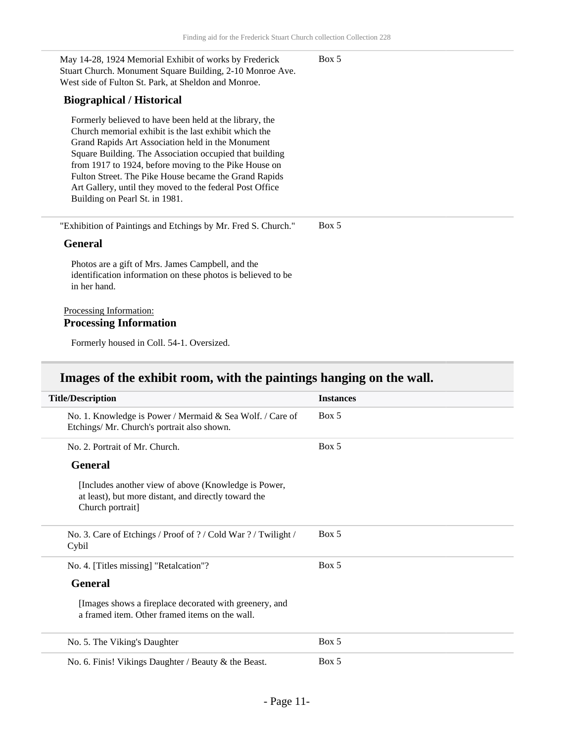Box 5

May 14-28, 1924 Memorial Exhibit of works by Frederick Stuart Church. Monument Square Building, 2-10 Monroe Ave. West side of Fulton St. Park, at Sheldon and Monroe.

#### **Biographical / Historical**

Formerly believed to have been held at the library, the Church memorial exhibit is the last exhibit which the Grand Rapids Art Association held in the Monument Square Building. The Association occupied that building from 1917 to 1924, before moving to the Pike House on Fulton Street. The Pike House became the Grand Rapids Art Gallery, until they moved to the federal Post Office Building on Pearl St. in 1981.

"Exhibition of Paintings and Etchings by Mr. Fred S. Church." Box 5

#### **General**

Photos are a gift of Mrs. James Campbell, and the identification information on these photos is believed to be in her hand.

#### Processing Information: **Processing Information**

Formerly housed in Coll. 54-1. Oversized.

### **Images of the exhibit room, with the paintings hanging on the wall.**

| <b>Title/Description</b>                                                                                                         | <b>Instances</b> |
|----------------------------------------------------------------------------------------------------------------------------------|------------------|
| No. 1. Knowledge is Power / Mermaid & Sea Wolf. / Care of<br>Etchings/ Mr. Church's portrait also shown.                         | Box 5            |
| No. 2. Portrait of Mr. Church.                                                                                                   | Box 5            |
| <b>General</b>                                                                                                                   |                  |
| [Includes another view of above (Knowledge is Power,<br>at least), but more distant, and directly toward the<br>Church portrait] |                  |
| No. 3. Care of Etchings / Proof of ? / Cold War ? / Twilight /<br>Cybil                                                          | Box 5            |
| No. 4. [Titles missing] "Retalcation"?                                                                                           | Box 5            |
| <b>General</b>                                                                                                                   |                  |
| [Images shows a fireplace decorated with greenery, and<br>a framed item. Other framed items on the wall.                         |                  |
| No. 5. The Viking's Daughter                                                                                                     | Box 5            |
| No. 6. Finis! Vikings Daughter / Beauty & the Beast.                                                                             | Box 5            |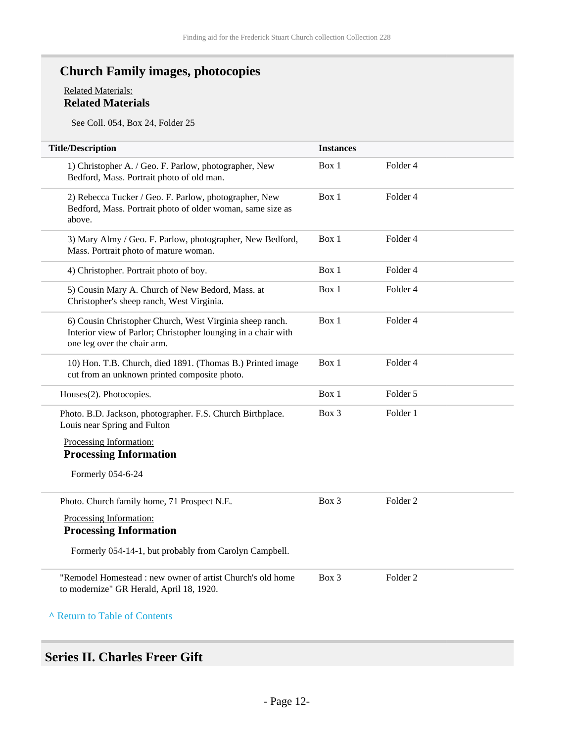## **Church Family images, photocopies**

#### Related Materials: **Related Materials**

See Coll. 054, Box 24, Folder 25

| <b>Title/Description</b>                                                                                                                                 | <b>Instances</b> |                     |  |
|----------------------------------------------------------------------------------------------------------------------------------------------------------|------------------|---------------------|--|
| 1) Christopher A. / Geo. F. Parlow, photographer, New<br>Bedford, Mass. Portrait photo of old man.                                                       | Box 1            | Folder <sub>4</sub> |  |
| 2) Rebecca Tucker / Geo. F. Parlow, photographer, New<br>Bedford, Mass. Portrait photo of older woman, same size as<br>above.                            | Box 1            | Folder 4            |  |
| 3) Mary Almy / Geo. F. Parlow, photographer, New Bedford,<br>Mass. Portrait photo of mature woman.                                                       | Box 1            | Folder 4            |  |
| 4) Christopher. Portrait photo of boy.                                                                                                                   | Box 1            | Folder 4            |  |
| 5) Cousin Mary A. Church of New Bedord, Mass. at<br>Christopher's sheep ranch, West Virginia.                                                            | Box 1            | Folder 4            |  |
| 6) Cousin Christopher Church, West Virginia sheep ranch.<br>Interior view of Parlor; Christopher lounging in a chair with<br>one leg over the chair arm. | Box 1            | Folder 4            |  |
| 10) Hon. T.B. Church, died 1891. (Thomas B.) Printed image<br>cut from an unknown printed composite photo.                                               | Box 1            | Folder 4            |  |
| Houses(2). Photocopies.                                                                                                                                  | Box 1            | Folder 5            |  |
| Photo. B.D. Jackson, photographer. F.S. Church Birthplace.<br>Louis near Spring and Fulton                                                               | Box 3            | Folder 1            |  |
| Processing Information:                                                                                                                                  |                  |                     |  |
| <b>Processing Information</b>                                                                                                                            |                  |                     |  |
| Formerly 054-6-24                                                                                                                                        |                  |                     |  |
| Photo. Church family home, 71 Prospect N.E.                                                                                                              | Box 3            | Folder <sub>2</sub> |  |
| Processing Information:                                                                                                                                  |                  |                     |  |
| <b>Processing Information</b>                                                                                                                            |                  |                     |  |
| Formerly 054-14-1, but probably from Carolyn Campbell.                                                                                                   |                  |                     |  |
| "Remodel Homestead: new owner of artist Church's old home<br>to modernize" GR Herald, April 18, 1920.                                                    | Box 3            | Folder <sub>2</sub> |  |
| A Return to Table of Contents                                                                                                                            |                  |                     |  |

## <span id="page-11-0"></span>**Series II. Charles Freer Gift**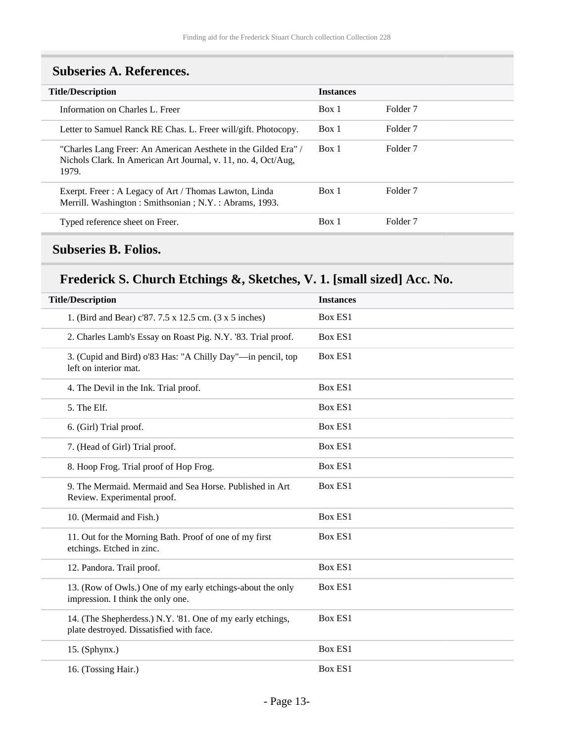| <b>Title/Description</b> |                                                                                                                                           | <b>Instances</b> |                     |
|--------------------------|-------------------------------------------------------------------------------------------------------------------------------------------|------------------|---------------------|
|                          | Information on Charles L. Freer                                                                                                           | Box 1            | Folder <sub>7</sub> |
|                          | Letter to Samuel Ranck RE Chas. L. Freer will/gift. Photocopy.                                                                            | Box 1            | Folder 7            |
|                          | "Charles Lang Freer: An American Aesthete in the Gilded Era" /<br>Nichols Clark. In American Art Journal, v. 11, no. 4, Oct/Aug.<br>1979. | Box 1            | Folder <sub>7</sub> |
|                          | Exerpt. Freer: A Legacy of Art / Thomas Lawton, Linda<br>Merrill. Washington: Smithsonian; N.Y.: Abrams, 1993.                            | Box 1            | Folder <sub>7</sub> |
|                          | Typed reference sheet on Freer.                                                                                                           | Box 1            | Folder <sub>7</sub> |

### <span id="page-12-0"></span>**Subseries A. References.**

### <span id="page-12-1"></span>**Subseries B. Folios.**

## **Frederick S. Church Etchings &, Sketches, V. 1. [small sized] Acc. No.**

| <b>Title/Description</b>                                                                               | <b>Instances</b> |
|--------------------------------------------------------------------------------------------------------|------------------|
| 1. (Bird and Bear) c'87. 7.5 x 12.5 cm. (3 x 5 inches)                                                 | <b>Box ES1</b>   |
| 2. Charles Lamb's Essay on Roast Pig. N.Y. '83. Trial proof.                                           | Box ES1          |
| 3. (Cupid and Bird) o'83 Has: "A Chilly Day"-in pencil, top<br>left on interior mat.                   | Box ES1          |
| 4. The Devil in the Ink. Trial proof.                                                                  | <b>Box ES1</b>   |
| 5. The Elf.                                                                                            | Box ES1          |
| 6. (Girl) Trial proof.                                                                                 | Box ES1          |
| 7. (Head of Girl) Trial proof.                                                                         | <b>Box ES1</b>   |
| 8. Hoop Frog. Trial proof of Hop Frog.                                                                 | Box ES1          |
| 9. The Mermaid. Mermaid and Sea Horse. Published in Art<br>Review. Experimental proof.                 | <b>Box ES1</b>   |
| 10. (Mermaid and Fish.)                                                                                | <b>Box ES1</b>   |
| 11. Out for the Morning Bath. Proof of one of my first<br>etchings. Etched in zinc.                    | Box ES1          |
| 12. Pandora. Trail proof.                                                                              | <b>Box ES1</b>   |
| 13. (Row of Owls.) One of my early etchings-about the only<br>impression. I think the only one.        | <b>Box ES1</b>   |
| 14. (The Shepherdess.) N.Y. '81. One of my early etchings,<br>plate destroyed. Dissatisfied with face. | <b>Box ES1</b>   |
| $15.$ (Sphynx.)                                                                                        | Box ES1          |
| 16. (Tossing Hair.)                                                                                    | Box ES1          |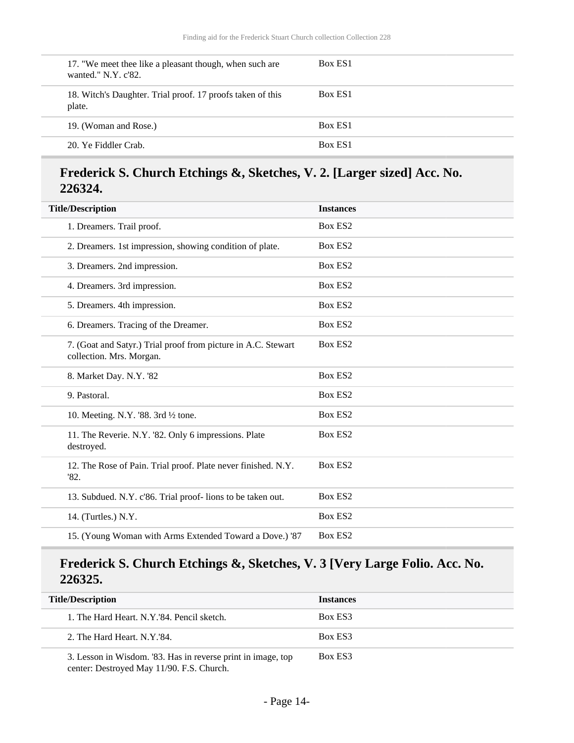| 17. "We meet thee like a pleasant though, when such are<br>wanted." $N.Y. c'82.$ | Box ES1 |
|----------------------------------------------------------------------------------|---------|
| 18. Witch's Daughter. Trial proof. 17 proofs taken of this<br>plate.             | Box ES1 |
| 19. (Woman and Rose.)                                                            | Box ES1 |
| 20. Ye Fiddler Crab.                                                             | Box ES1 |

### **Frederick S. Church Etchings &, Sketches, V. 2. [Larger sized] Acc. No. 226324.**

| <b>Title/Description</b>                                                                  | <b>Instances</b> |
|-------------------------------------------------------------------------------------------|------------------|
| 1. Dreamers. Trail proof.                                                                 | Box ES2          |
| 2. Dreamers. 1st impression, showing condition of plate.                                  | Box ES2          |
| 3. Dreamers. 2nd impression.                                                              | Box ES2          |
| 4. Dreamers. 3rd impression.                                                              | Box ES2          |
| 5. Dreamers. 4th impression.                                                              | Box ES2          |
| 6. Dreamers. Tracing of the Dreamer.                                                      | Box ES2          |
| 7. (Goat and Satyr.) Trial proof from picture in A.C. Stewart<br>collection. Mrs. Morgan. | Box ES2          |
| 8. Market Day. N.Y. '82                                                                   | Box ES2          |
| 9. Pastoral.                                                                              | Box ES2          |
| 10. Meeting. N.Y. '88. $3rd \frac{1}{2}$ tone.                                            | Box ES2          |
| 11. The Reverie. N.Y. '82. Only 6 impressions. Plate<br>destroyed.                        | Box ES2          |
| 12. The Rose of Pain. Trial proof. Plate never finished. N.Y.<br>'82.                     | Box ES2          |
| 13. Subdued. N.Y. c'86. Trial proof-lions to be taken out.                                | Box ES2          |
| 14. (Turtles.) N.Y.                                                                       | Box ES2          |
| 15. (Young Woman with Arms Extended Toward a Dove.) '87                                   | Box ES2          |

### **Frederick S. Church Etchings &, Sketches, V. 3 [Very Large Folio. Acc. No. 226325.**

| <b>Title/Description</b>                                     | <b>Instances</b> |
|--------------------------------------------------------------|------------------|
| 1. The Hard Heart. N.Y.'84. Pencil sketch.                   | Box ES3          |
| 2. The Hard Heart, N.Y.'84.                                  | Box ES3          |
| 3. Lesson in Wisdom. '83. Has in reverse print in image, top | Box ES3          |

center: Destroyed May 11/90. F.S. Church.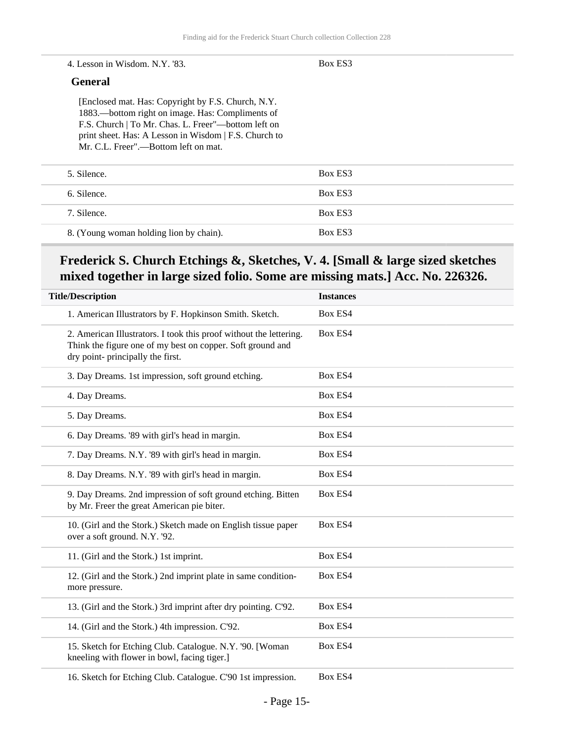#### 4. Lesson in Wisdom. N.Y. '83.

#### Box ES3

#### **General**

[Enclosed mat. Has: Copyright by F.S. Church, N.Y. 1883.—bottom right on image. Has: Compliments of F.S. Church | To Mr. Chas. L. Freer"—bottom left on print sheet. Has: A Lesson in Wisdom | F.S. Church to Mr. C.L. Freer".—Bottom left on mat.

| 5. Silence.                             | Box ES3 |
|-----------------------------------------|---------|
| 6. Silence.                             | Box ES3 |
| 7. Silence.                             | Box ES3 |
| 8. (Young woman holding lion by chain). | Box ES3 |

### **Frederick S. Church Etchings &, Sketches, V. 4. [Small & large sized sketches mixed together in large sized folio. Some are missing mats.] Acc. No. 226326.**

| <b>Title/Description</b>                                                                                                                                              | <b>Instances</b> |
|-----------------------------------------------------------------------------------------------------------------------------------------------------------------------|------------------|
| 1. American Illustrators by F. Hopkinson Smith. Sketch.                                                                                                               | Box ES4          |
| 2. American Illustrators. I took this proof without the lettering.<br>Think the figure one of my best on copper. Soft ground and<br>dry point- principally the first. | Box ES4          |
| 3. Day Dreams. 1st impression, soft ground etching.                                                                                                                   | Box ES4          |
| 4. Day Dreams.                                                                                                                                                        | Box ES4          |
| 5. Day Dreams.                                                                                                                                                        | <b>Box ES4</b>   |
| 6. Day Dreams. '89 with girl's head in margin.                                                                                                                        | Box ES4          |
| 7. Day Dreams. N.Y. '89 with girl's head in margin.                                                                                                                   | Box ES4          |
| 8. Day Dreams. N.Y. '89 with girl's head in margin.                                                                                                                   | Box ES4          |
| 9. Day Dreams. 2nd impression of soft ground etching. Bitten<br>by Mr. Freer the great American pie biter.                                                            | Box ES4          |
| 10. (Girl and the Stork.) Sketch made on English tissue paper<br>over a soft ground. N.Y. '92.                                                                        | Box ES4          |
| 11. (Girl and the Stork.) 1st imprint.                                                                                                                                | Box ES4          |
| 12. (Girl and the Stork.) 2nd imprint plate in same condition-<br>more pressure.                                                                                      | Box ES4          |
| 13. (Girl and the Stork.) 3rd imprint after dry pointing. C'92.                                                                                                       | Box ES4          |
| 14. (Girl and the Stork.) 4th impression. C'92.                                                                                                                       | Box ES4          |
| 15. Sketch for Etching Club. Catalogue. N.Y. '90. [Woman<br>kneeling with flower in bowl, facing tiger.]                                                              | Box ES4          |
| 16. Sketch for Etching Club. Catalogue. C'90 1st impression.                                                                                                          | Box ES4          |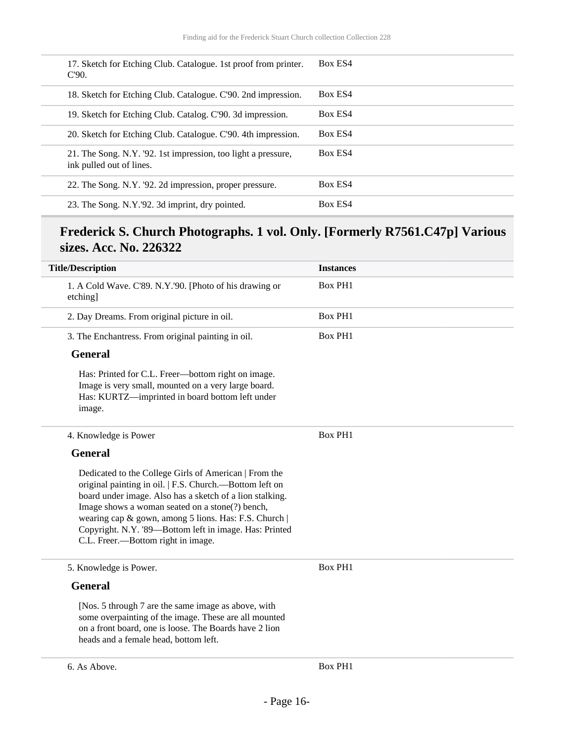| 17. Sketch for Etching Club. Catalogue. 1st proof from printer.<br>$C90$ .                | Box ES4 |
|-------------------------------------------------------------------------------------------|---------|
| 18. Sketch for Etching Club. Catalogue. C'90. 2nd impression.                             | Box ES4 |
| 19. Sketch for Etching Club. Catalog. C'90. 3d impression.                                | Box ES4 |
| 20. Sketch for Etching Club. Catalogue. C'90. 4th impression.                             | Box ES4 |
| 21. The Song. N.Y. '92. 1st impression, too light a pressure,<br>ink pulled out of lines. | Box ES4 |
| 22. The Song. N.Y. '92. 2d impression, proper pressure.                                   | Box ES4 |
| 23. The Song. N.Y.'92. 3d imprint, dry pointed.                                           | Box ES4 |

### **Frederick S. Church Photographs. 1 vol. Only. [Formerly R7561.C47p] Various sizes. Acc. No. 226322**

| <b>Title/Description</b>                                                                                                                                                                                                                                                                                                                                                                 | <b>Instances</b> |
|------------------------------------------------------------------------------------------------------------------------------------------------------------------------------------------------------------------------------------------------------------------------------------------------------------------------------------------------------------------------------------------|------------------|
| 1. A Cold Wave. C'89. N.Y.'90. [Photo of his drawing or<br>etching]                                                                                                                                                                                                                                                                                                                      | <b>Box PH1</b>   |
| 2. Day Dreams. From original picture in oil.                                                                                                                                                                                                                                                                                                                                             | <b>Box PH1</b>   |
| 3. The Enchantress. From original painting in oil.                                                                                                                                                                                                                                                                                                                                       | <b>Box PH1</b>   |
| <b>General</b>                                                                                                                                                                                                                                                                                                                                                                           |                  |
| Has: Printed for C.L. Freer-bottom right on image.<br>Image is very small, mounted on a very large board.<br>Has: KURTZ-imprinted in board bottom left under<br>image.                                                                                                                                                                                                                   |                  |
| 4. Knowledge is Power                                                                                                                                                                                                                                                                                                                                                                    | <b>Box PH1</b>   |
| <b>General</b>                                                                                                                                                                                                                                                                                                                                                                           |                  |
| Dedicated to the College Girls of American   From the<br>original painting in oil.   F.S. Church.—Bottom left on<br>board under image. Also has a sketch of a lion stalking.<br>Image shows a woman seated on a stone(?) bench,<br>wearing cap & gown, among 5 lions. Has: F.S. Church  <br>Copyright. N.Y. '89-Bottom left in image. Has: Printed<br>C.L. Freer.—Bottom right in image. |                  |
| 5. Knowledge is Power.                                                                                                                                                                                                                                                                                                                                                                   | <b>Box PH1</b>   |
| <b>General</b>                                                                                                                                                                                                                                                                                                                                                                           |                  |
| [Nos. 5 through 7 are the same image as above, with<br>some overpainting of the image. These are all mounted<br>on a front board, one is loose. The Boards have 2 lion<br>heads and a female head, bottom left.                                                                                                                                                                          |                  |
| 6. As Above.                                                                                                                                                                                                                                                                                                                                                                             | <b>Box PH1</b>   |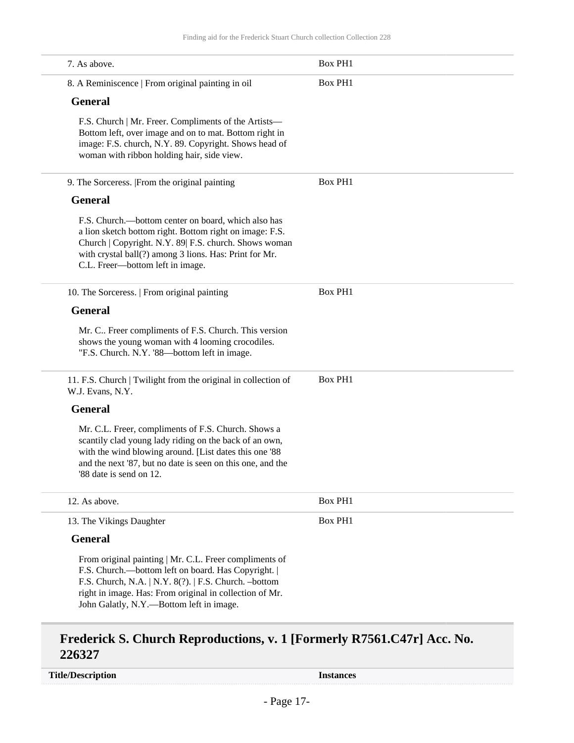| 7. As above.                                                                                                                                                                                                                                                                    | <b>Box PH1</b> |
|---------------------------------------------------------------------------------------------------------------------------------------------------------------------------------------------------------------------------------------------------------------------------------|----------------|
| 8. A Reminiscence   From original painting in oil                                                                                                                                                                                                                               | <b>Box PH1</b> |
| <b>General</b>                                                                                                                                                                                                                                                                  |                |
| F.S. Church   Mr. Freer. Compliments of the Artists—<br>Bottom left, over image and on to mat. Bottom right in<br>image: F.S. church, N.Y. 89. Copyright. Shows head of<br>woman with ribbon holding hair, side view.                                                           |                |
| 9. The Sorceress. [From the original painting                                                                                                                                                                                                                                   | <b>Box PH1</b> |
| <b>General</b>                                                                                                                                                                                                                                                                  |                |
| F.S. Church.—bottom center on board, which also has<br>a lion sketch bottom right. Bottom right on image: F.S.<br>Church   Copyright. N.Y. 89  F.S. church. Shows woman<br>with crystal ball(?) among 3 lions. Has: Print for Mr.<br>C.L. Freer-bottom left in image.           |                |
| 10. The Sorceress.   From original painting                                                                                                                                                                                                                                     | <b>Box PH1</b> |
| <b>General</b>                                                                                                                                                                                                                                                                  |                |
| Mr. C Freer compliments of F.S. Church. This version<br>shows the young woman with 4 looming crocodiles.<br>"F.S. Church. N.Y. '88-bottom left in image.                                                                                                                        |                |
| 11. F.S. Church   Twilight from the original in collection of<br>W.J. Evans, N.Y.                                                                                                                                                                                               | <b>Box PH1</b> |
| <b>General</b>                                                                                                                                                                                                                                                                  |                |
| Mr. C.L. Freer, compliments of F.S. Church. Shows a<br>scantily clad young lady riding on the back of an own,<br>with the wind blowing around. [List dates this one '88<br>and the next '87, but no date is seen on this one, and the<br>'88 date is send on 12.                |                |
| 12. As above.                                                                                                                                                                                                                                                                   | <b>Box PH1</b> |
| 13. The Vikings Daughter                                                                                                                                                                                                                                                        | <b>Box PH1</b> |
| <b>General</b>                                                                                                                                                                                                                                                                  |                |
| From original painting   Mr. C.L. Freer compliments of<br>F.S. Church.--bottom left on board. Has Copyright.<br>F.S. Church, N.A.   N.Y. 8(?).   F.S. Church. -bottom<br>right in image. Has: From original in collection of Mr.<br>John Galatly, N.Y.--- Bottom left in image. |                |

### **Frederick S. Church Reproductions, v. 1 [Formerly R7561.C47r] Acc. No. 226327**

**Title/Description Instances**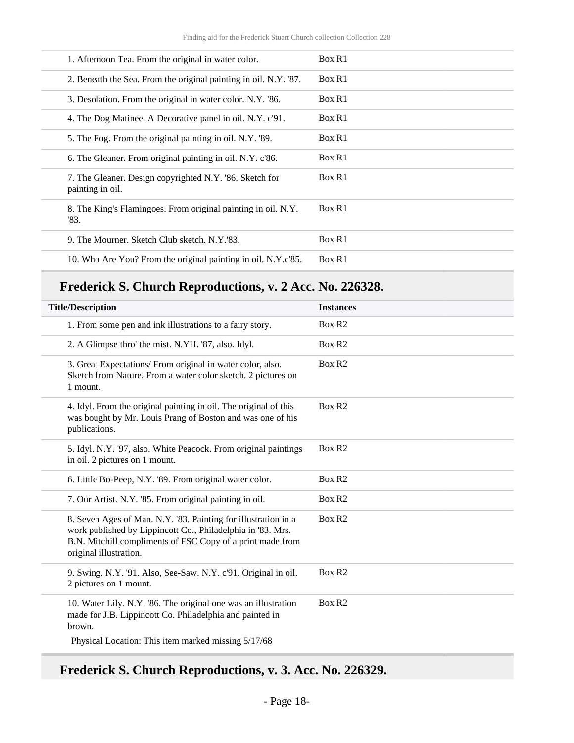| 1. Afternoon Tea. From the original in water color.                         | Box R1 |
|-----------------------------------------------------------------------------|--------|
| 2. Beneath the Sea. From the original painting in oil. N.Y. '87.            | Box R1 |
| 3. Desolation. From the original in water color. N.Y. '86.                  | Box R1 |
| 4. The Dog Matinee. A Decorative panel in oil. N.Y. c'91.                   | Box R1 |
| 5. The Fog. From the original painting in oil. N.Y. '89.                    | Box R1 |
| 6. The Gleaner. From original painting in oil. N.Y. c'86.                   | Box R1 |
| 7. The Gleaner. Design copyrighted N.Y. '86. Sketch for<br>painting in oil. | Box R1 |
| 8. The King's Flamingoes. From original painting in oil. N.Y.<br>'83.       | Box R1 |
|                                                                             |        |
| 9. The Mourner. Sketch Club sketch. N.Y.'83.                                | Box R1 |
| 10. Who Are You? From the original painting in oil. N.Y.c'85.               | Box R1 |

## **Frederick S. Church Reproductions, v. 2 Acc. No. 226328.**

| <b>Title/Description</b>                                                                                                                                                                                              | <b>Instances</b>   |
|-----------------------------------------------------------------------------------------------------------------------------------------------------------------------------------------------------------------------|--------------------|
| 1. From some pen and ink illustrations to a fairy story.                                                                                                                                                              | Box R <sub>2</sub> |
| 2. A Glimpse thro' the mist. N.YH. '87, also. Idyl.                                                                                                                                                                   | Box R <sub>2</sub> |
| 3. Great Expectations/ From original in water color, also.<br>Sketch from Nature. From a water color sketch. 2 pictures on<br>1 mount.                                                                                | Box R <sub>2</sub> |
| 4. Idyl. From the original painting in oil. The original of this<br>was bought by Mr. Louis Prang of Boston and was one of his<br>publications.                                                                       | Box R <sub>2</sub> |
| 5. Idyl. N.Y. '97, also. White Peacock. From original paintings<br>in oil. 2 pictures on 1 mount.                                                                                                                     | Box R2             |
| 6. Little Bo-Peep, N.Y. '89. From original water color.                                                                                                                                                               | Box R <sub>2</sub> |
| 7. Our Artist. N.Y. '85. From original painting in oil.                                                                                                                                                               | Box R <sub>2</sub> |
| 8. Seven Ages of Man. N.Y. '83. Painting for illustration in a<br>work published by Lippincott Co., Philadelphia in '83. Mrs.<br>B.N. Mitchill compliments of FSC Copy of a print made from<br>original illustration. | Box R <sub>2</sub> |
| 9. Swing. N.Y. '91. Also, See-Saw. N.Y. c'91. Original in oil.<br>2 pictures on 1 mount.                                                                                                                              | Box R <sub>2</sub> |
| 10. Water Lily. N.Y. '86. The original one was an illustration<br>made for J.B. Lippincott Co. Philadelphia and painted in<br>brown.                                                                                  | Box R <sub>2</sub> |
| Physical Location: This item marked missing 5/17/68                                                                                                                                                                   |                    |

## **Frederick S. Church Reproductions, v. 3. Acc. No. 226329.**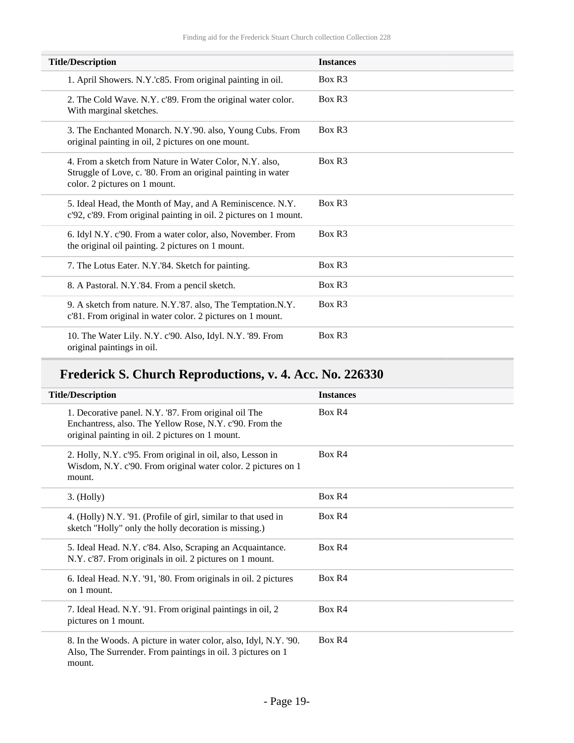| <b>Title/Description</b>                                                                                                                                 | <b>Instances</b>   |
|----------------------------------------------------------------------------------------------------------------------------------------------------------|--------------------|
| 1. April Showers. N.Y.'c85. From original painting in oil.                                                                                               | Box R <sub>3</sub> |
| 2. The Cold Wave. N.Y. c'89. From the original water color.<br>With marginal sketches.                                                                   | Box R <sub>3</sub> |
| 3. The Enchanted Monarch. N.Y.'90. also, Young Cubs. From<br>original painting in oil, 2 pictures on one mount.                                          | Box R <sub>3</sub> |
| 4. From a sketch from Nature in Water Color, N.Y. also,<br>Struggle of Love, c. '80. From an original painting in water<br>color. 2 pictures on 1 mount. | Box R <sub>3</sub> |
| 5. Ideal Head, the Month of May, and A Reminiscence. N.Y.<br>c'92, c'89. From original painting in oil. 2 pictures on 1 mount.                           | Box R <sub>3</sub> |
| 6. Idyl N.Y. c'90. From a water color, also, November. From<br>the original oil painting. 2 pictures on 1 mount.                                         | Box R <sub>3</sub> |
| 7. The Lotus Eater. N.Y.'84. Sketch for painting.                                                                                                        | Box R <sub>3</sub> |
| 8. A Pastoral. N.Y.'84. From a pencil sketch.                                                                                                            | Box R <sub>3</sub> |
| 9. A sketch from nature. N.Y.'87. also, The Temptation.N.Y.<br>c'81. From original in water color. 2 pictures on 1 mount.                                | Box R <sub>3</sub> |
| 10. The Water Lily. N.Y. c'90. Also, Idyl. N.Y. '89. From<br>original paintings in oil.                                                                  | Box R <sub>3</sub> |

## **Frederick S. Church Reproductions, v. 4. Acc. No. 226330**

| <b>Title/Description</b>                                                                                                                                            | <b>Instances</b> |
|---------------------------------------------------------------------------------------------------------------------------------------------------------------------|------------------|
| 1. Decorative panel. N.Y. '87. From original oil The<br>Enchantress, also. The Yellow Rose, N.Y. c'90. From the<br>original painting in oil. 2 pictures on 1 mount. | Box R4           |
| 2. Holly, N.Y. c'95. From original in oil, also, Lesson in<br>Wisdom, N.Y. c'90. From original water color. 2 pictures on 1<br>mount.                               | Box R4           |
| 3. (Holly)                                                                                                                                                          | Box R4           |
| 4. (Holly) N.Y. '91. (Profile of girl, similar to that used in<br>sketch "Holly" only the holly decoration is missing.)                                             | Box R4           |
| 5. Ideal Head. N.Y. c'84. Also, Scraping an Acquaintance.<br>N.Y. c'87. From originals in oil. 2 pictures on 1 mount.                                               | Box R4           |
| 6. Ideal Head. N.Y. '91, '80. From originals in oil. 2 pictures<br>on 1 mount.                                                                                      | Box R4           |
| 7. Ideal Head. N.Y. '91. From original paintings in oil, 2<br>pictures on 1 mount.                                                                                  | Box R4           |
| 8. In the Woods. A picture in water color, also, Idyl, N.Y. '90.<br>Also, The Surrender. From paintings in oil. 3 pictures on 1<br>mount.                           | Box R4           |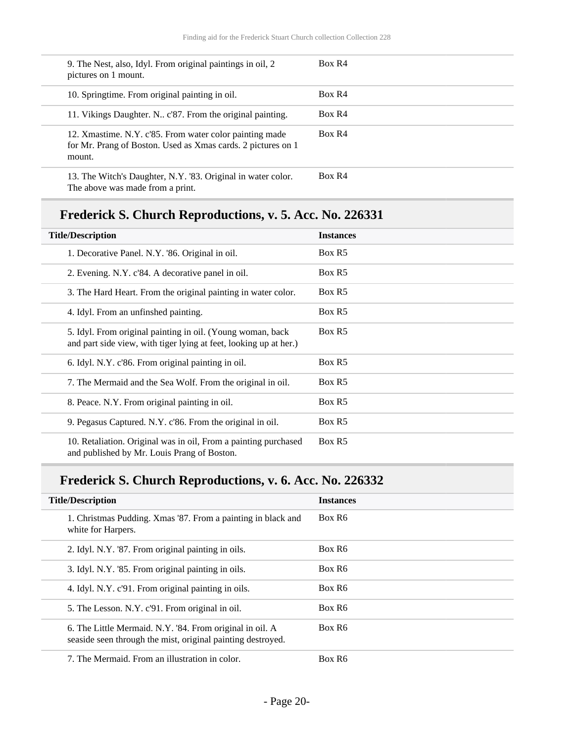| 9. The Nest, also, Idyl. From original paintings in oil, 2<br>pictures on 1 mount.                                                | Box R4 |
|-----------------------------------------------------------------------------------------------------------------------------------|--------|
| 10. Springtime. From original painting in oil.                                                                                    | Box R4 |
| 11. Vikings Daughter. N., c'87. From the original painting.                                                                       | Box R4 |
| 12. Xmastime. N.Y. c'85. From water color painting made<br>for Mr. Prang of Boston. Used as Xmas cards. 2 pictures on 1<br>mount. | Box R4 |
| 13. The Witch's Daughter, N.Y. '83. Original in water color.<br>The above was made from a print.                                  | Box R4 |

## **Frederick S. Church Reproductions, v. 5. Acc. No. 226331**

| <b>Title/Description</b>                                                                                                        | <b>Instances</b> |
|---------------------------------------------------------------------------------------------------------------------------------|------------------|
| 1. Decorative Panel. N.Y. '86. Original in oil.                                                                                 | Box R5           |
| 2. Evening. N.Y. c'84. A decorative panel in oil.                                                                               | Box R5           |
| 3. The Hard Heart. From the original painting in water color.                                                                   | Box R5           |
| 4. Idyl. From an unfinshed painting.                                                                                            | Box R5           |
| 5. Idyl. From original painting in oil. (Young woman, back<br>and part side view, with tiger lying at feet, looking up at her.) | Box R5           |
| 6. Idyl. N.Y. c'86. From original painting in oil.                                                                              | Box R5           |
| 7. The Mermaid and the Sea Wolf. From the original in oil.                                                                      | Box R5           |
| 8. Peace. N.Y. From original painting in oil.                                                                                   | Box R5           |
| 9. Pegasus Captured. N.Y. c'86. From the original in oil.                                                                       | Box R5           |
| 10. Retaliation. Original was in oil, From a painting purchased<br>and published by Mr. Louis Prang of Boston.                  | Box R5           |

## **Frederick S. Church Reproductions, v. 6. Acc. No. 226332**

| <b>Title/Description</b>                                                                                                | <b>Instances</b>   |
|-------------------------------------------------------------------------------------------------------------------------|--------------------|
| 1. Christmas Pudding. Xmas '87. From a painting in black and<br>white for Harpers.                                      | Box R <sub>6</sub> |
| 2. Idyl. N.Y. '87. From original painting in oils.                                                                      | Box R <sub>6</sub> |
| 3. Idyl. N.Y. '85. From original painting in oils.                                                                      | Box R <sub>6</sub> |
| 4. Idyl. N.Y. c'91. From original painting in oils.                                                                     | Box R <sub>6</sub> |
| 5. The Lesson. N.Y. c'91. From original in oil.                                                                         | Box R <sub>6</sub> |
| 6. The Little Mermaid. N.Y. '84. From original in oil. A<br>seaside seen through the mist, original painting destroyed. | Box R <sub>6</sub> |
| 7. The Mermaid. From an illustration in color.                                                                          | Box R <sub>6</sub> |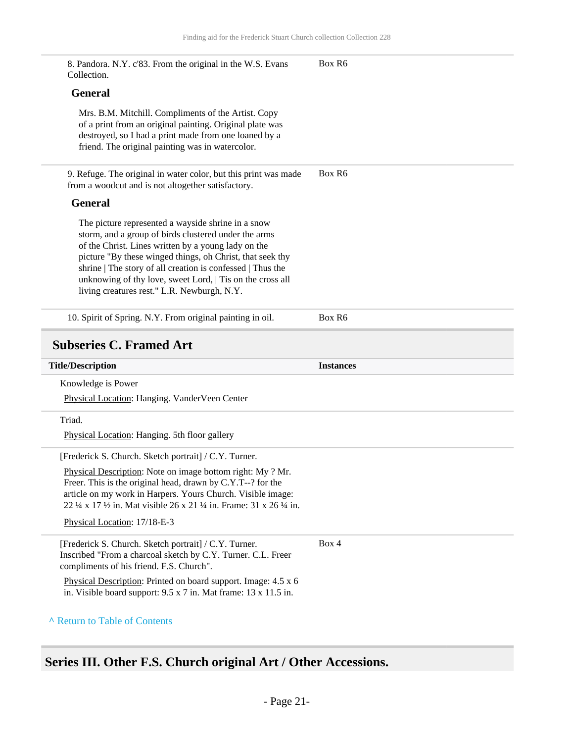<span id="page-20-0"></span>

| 8. Pandora. N.Y. c'83. From the original in the W.S. Evans<br>Collection.                                                                                                                                                                                                                                                                                                                                | Box R6           |
|----------------------------------------------------------------------------------------------------------------------------------------------------------------------------------------------------------------------------------------------------------------------------------------------------------------------------------------------------------------------------------------------------------|------------------|
| <b>General</b>                                                                                                                                                                                                                                                                                                                                                                                           |                  |
| Mrs. B.M. Mitchill. Compliments of the Artist. Copy<br>of a print from an original painting. Original plate was<br>destroyed, so I had a print made from one loaned by a<br>friend. The original painting was in watercolor.                                                                                                                                                                             |                  |
| 9. Refuge. The original in water color, but this print was made<br>from a woodcut and is not altogether satisfactory.                                                                                                                                                                                                                                                                                    | Box R6           |
| <b>General</b>                                                                                                                                                                                                                                                                                                                                                                                           |                  |
| The picture represented a wayside shrine in a snow<br>storm, and a group of birds clustered under the arms<br>of the Christ. Lines written by a young lady on the<br>picture "By these winged things, oh Christ, that seek thy<br>shrine   The story of all creation is confessed   Thus the<br>unknowing of thy love, sweet Lord,   Tis on the cross all<br>living creatures rest." L.R. Newburgh, N.Y. |                  |
| 10. Spirit of Spring. N.Y. From original painting in oil.                                                                                                                                                                                                                                                                                                                                                | Box R6           |
|                                                                                                                                                                                                                                                                                                                                                                                                          |                  |
| <b>Subseries C. Framed Art</b>                                                                                                                                                                                                                                                                                                                                                                           |                  |
| <b>Title/Description</b>                                                                                                                                                                                                                                                                                                                                                                                 | <b>Instances</b> |
| Knowledge is Power                                                                                                                                                                                                                                                                                                                                                                                       |                  |
| Physical Location: Hanging. VanderVeen Center                                                                                                                                                                                                                                                                                                                                                            |                  |
| Triad.                                                                                                                                                                                                                                                                                                                                                                                                   |                  |
| Physical Location: Hanging. 5th floor gallery                                                                                                                                                                                                                                                                                                                                                            |                  |
| [Frederick S. Church. Sketch portrait] / C.Y. Turner.                                                                                                                                                                                                                                                                                                                                                    |                  |
| Physical Description: Note on image bottom right: My ? Mr.<br>Freer. This is the original head, drawn by C.Y.T--? for the<br>article on my work in Harpers. Yours Church. Visible image:<br>22 ¼ x 17 ½ in. Mat visible 26 x 21 ¼ in. Frame: 31 x 26 ¼ in.                                                                                                                                               |                  |
| Physical Location: 17/18-E-3                                                                                                                                                                                                                                                                                                                                                                             |                  |
| [Frederick S. Church. Sketch portrait] / C.Y. Turner.<br>Inscribed "From a charcoal sketch by C.Y. Turner. C.L. Freer<br>compliments of his friend. F.S. Church".                                                                                                                                                                                                                                        | Box 4            |
| Physical Description: Printed on board support. Image: 4.5 x 6<br>in. Visible board support: $9.5 \times 7$ in. Mat frame: $13 \times 11.5$ in.                                                                                                                                                                                                                                                          |                  |

## <span id="page-20-1"></span>**Series III. Other F.S. Church original Art / Other Accessions.**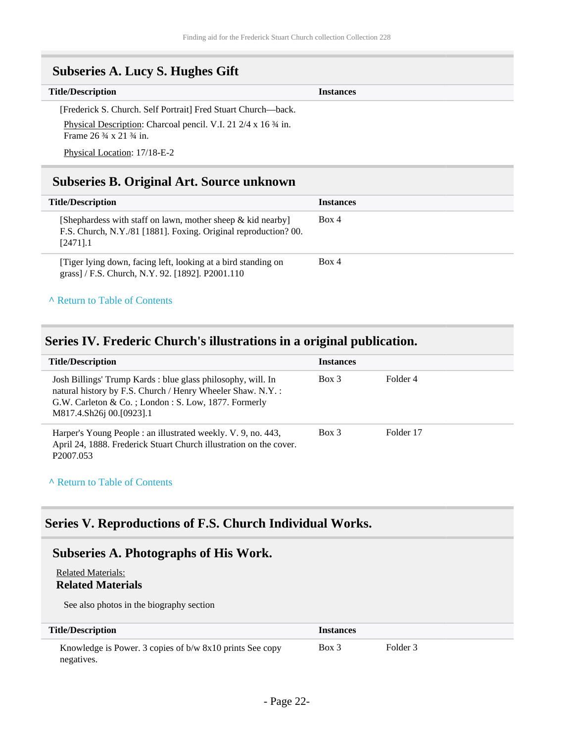<span id="page-21-0"></span>

| <b>Subseries A. Lucy S. Hughes Gift</b>                                                                                                                                                                            |                  |
|--------------------------------------------------------------------------------------------------------------------------------------------------------------------------------------------------------------------|------------------|
| <b>Title/Description</b>                                                                                                                                                                                           | <b>Instances</b> |
| [Frederick S. Church. Self Portrait] Fred Stuart Church—back.<br>Physical Description: Charcoal pencil. V.I. 21 2/4 x 16 3/4 in.<br>Frame $26\frac{3}{4} \times 21\frac{3}{4}$ in.<br>Physical Location: 17/18-E-2 |                  |

### <span id="page-21-1"></span>**Subseries B. Original Art. Source unknown**

| <b>Title/Description</b>                                                                                                                         | <b>Instances</b> |
|--------------------------------------------------------------------------------------------------------------------------------------------------|------------------|
| [Shephardess with staff on lawn, mother sheep $\&$ kid nearby]<br>F.S. Church, N.Y./81 [1881]. Foxing. Original reproduction? 00.<br>$[2471]$ .1 | Box 4            |
| Tiger lying down, facing left, looking at a bird standing on<br>grass] / F.S. Church, N.Y. 92. [1892]. P2001.110                                 | Box 4            |

#### **^** [Return to Table of Contents](#page-1-0)

#### <span id="page-21-2"></span>**Series IV. Frederic Church's illustrations in a original publication.**

| <b>Title/Description</b>                                                                                                                                                                                      | <b>Instances</b> |           |
|---------------------------------------------------------------------------------------------------------------------------------------------------------------------------------------------------------------|------------------|-----------|
| Josh Billings' Trump Kards : blue glass philosophy, will. In<br>natural history by F.S. Church / Henry Wheeler Shaw. N.Y.:<br>G.W. Carleton & Co.; London: S. Low, 1877. Formerly<br>M817.4.Sh26i 00.[0923].1 | Box 3            | Folder 4  |
| Harper's Young People : an illustrated weekly. V. 9, no. 443,<br>April 24, 1888. Frederick Stuart Church illustration on the cover.<br>P <sub>2007.053</sub>                                                  | $Box$ 3          | Folder 17 |

#### **^** [Return to Table of Contents](#page-1-0)

### <span id="page-21-3"></span>**Series V. Reproductions of F.S. Church Individual Works.**

### <span id="page-21-4"></span>**Subseries A. Photographs of His Work.**

#### Related Materials:

#### **Related Materials**

See also photos in the biography section

| <b>Title/Description</b>                                               | <i>Instances</i> |          |
|------------------------------------------------------------------------|------------------|----------|
| Knowledge is Power. 3 copies of b/w 8x10 prints See copy<br>negatives. | Box 3            | Folder 3 |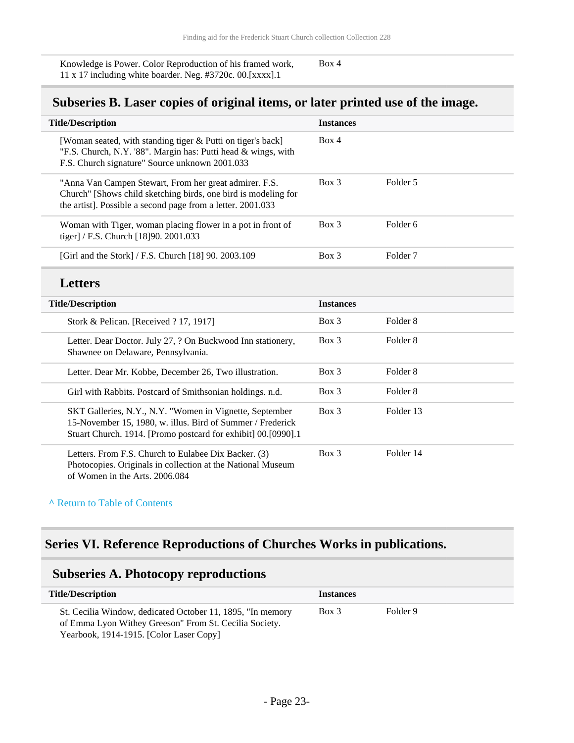Knowledge is Power. Color Reproduction of his framed work, 11 x 17 including white boarder. Neg. #3720c. 00.[xxxx].1 Box 4

### <span id="page-22-0"></span>**Subseries B. Laser copies of original items, or later printed use of the image.**

| <b>Title/Description</b>                                                                                                                                                                | <b>Instances</b> |                     |
|-----------------------------------------------------------------------------------------------------------------------------------------------------------------------------------------|------------------|---------------------|
| [Woman seated, with standing tiger & Putti on tiger's back]<br>"F.S. Church, N.Y. '88". Margin has: Putti head & wings, with<br>F.S. Church signature" Source unknown 2001.033          | Box 4            |                     |
| "Anna Van Campen Stewart, From her great admirer. F.S.<br>Church" [Shows child sketching birds, one bird is modeling for<br>the artist]. Possible a second page from a letter. 2001.033 | Box 3            | Folder 5            |
| Woman with Tiger, woman placing flower in a pot in front of<br>tiger] / F.S. Church [18]90. 2001.033                                                                                    | Box 3            | Folder <sub>6</sub> |
| [Girl and the Stork] / F.S. Church [18] 90. 2003.109                                                                                                                                    | Box 3            | Folder <sub>7</sub> |
| <b>Letters</b>                                                                                                                                                                          |                  |                     |
| <b>Title/Description</b>                                                                                                                                                                | <b>Instances</b> |                     |
| Stork & Pelican. [Received ? 17, 1917]                                                                                                                                                  | Box 3            | Folder <sub>8</sub> |
| Letter. Dear Doctor. July 27, ? On Buckwood Inn stationery,<br>Shawnee on Delaware, Pennsylvania.                                                                                       | Box 3            | Folder <sub>8</sub> |
|                                                                                                                                                                                         |                  |                     |
| Letter. Dear Mr. Kobbe, December 26, Two illustration.                                                                                                                                  | Box 3            | Folder <sub>8</sub> |
| Girl with Rabbits. Postcard of Smithsonian holdings. n.d.                                                                                                                               | Box 3            | Folder <sub>8</sub> |
| SKT Galleries, N.Y., N.Y. "Women in Vignette, September<br>15-November 15, 1980, w. illus. Bird of Summer / Frederick<br>Stuart Church. 1914. [Promo postcard for exhibit] 00.[0990].1  | Box 3            | Folder 13           |

#### **^** [Return to Table of Contents](#page-1-0)

## <span id="page-22-1"></span>**Series VI. Reference Reproductions of Churches Works in publications.**

### <span id="page-22-2"></span>**Subseries A. Photocopy reproductions**

| <b>Title/Description</b>                                                                                                                                        | <b>Instances</b> |          |  |
|-----------------------------------------------------------------------------------------------------------------------------------------------------------------|------------------|----------|--|
| St. Cecilia Window, dedicated October 11, 1895, "In memory<br>of Emma Lyon Withey Greeson" From St. Cecilia Society.<br>Yearbook, 1914-1915. [Color Laser Copy] | $Box\ 3$         | Folder 9 |  |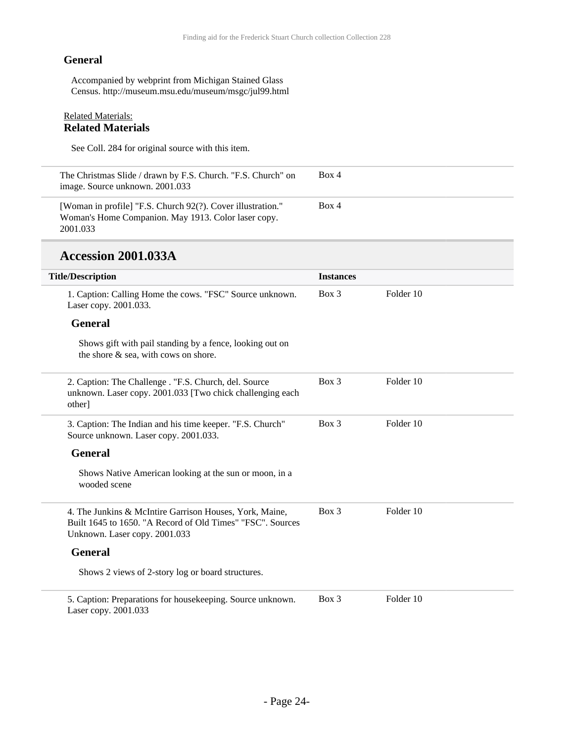#### **General**

Accompanied by webprint from Michigan Stained Glass Census. http://museum.msu.edu/museum/msgc/jul99.html

#### Related Materials: **Related Materials**

See Coll. 284 for original source with this item.

| The Christmas Slide / drawn by F.S. Church. "F.S. Church" on<br>image. Source unknown. 2001.033                                | Box 4 |
|--------------------------------------------------------------------------------------------------------------------------------|-------|
| [Woman in profile] "F.S. Church 92(?). Cover illustration."<br>Woman's Home Companion. May 1913. Color laser copy.<br>2001.033 | Box 4 |

### **Accession 2001.033A**

| <b>Title/Description</b>                                                                                                                               | <b>Instances</b> |           |  |
|--------------------------------------------------------------------------------------------------------------------------------------------------------|------------------|-----------|--|
| 1. Caption: Calling Home the cows. "FSC" Source unknown.<br>Laser copy. 2001.033.                                                                      | $Box$ 3          | Folder 10 |  |
| <b>General</b>                                                                                                                                         |                  |           |  |
| Shows gift with pail standing by a fence, looking out on<br>the shore & sea, with cows on shore.                                                       |                  |           |  |
| 2. Caption: The Challenge . "F.S. Church, del. Source<br>unknown. Laser copy. 2001.033 [Two chick challenging each<br>other]                           | $Box$ 3          | Folder 10 |  |
| 3. Caption: The Indian and his time keeper. "F.S. Church"<br>Source unknown. Laser copy. 2001.033.                                                     | Box 3            | Folder 10 |  |
| <b>General</b>                                                                                                                                         |                  |           |  |
| Shows Native American looking at the sun or moon, in a<br>wooded scene                                                                                 |                  |           |  |
| 4. The Junkins & McIntire Garrison Houses, York, Maine,<br>Built 1645 to 1650. "A Record of Old Times" "FSC". Sources<br>Unknown. Laser copy. 2001.033 | Box 3            | Folder 10 |  |
| <b>General</b>                                                                                                                                         |                  |           |  |
| Shows 2 views of 2-story log or board structures.                                                                                                      |                  |           |  |
| 5. Caption: Preparations for housekeeping. Source unknown.<br>Laser copy. 2001.033                                                                     | $Box$ 3          | Folder 10 |  |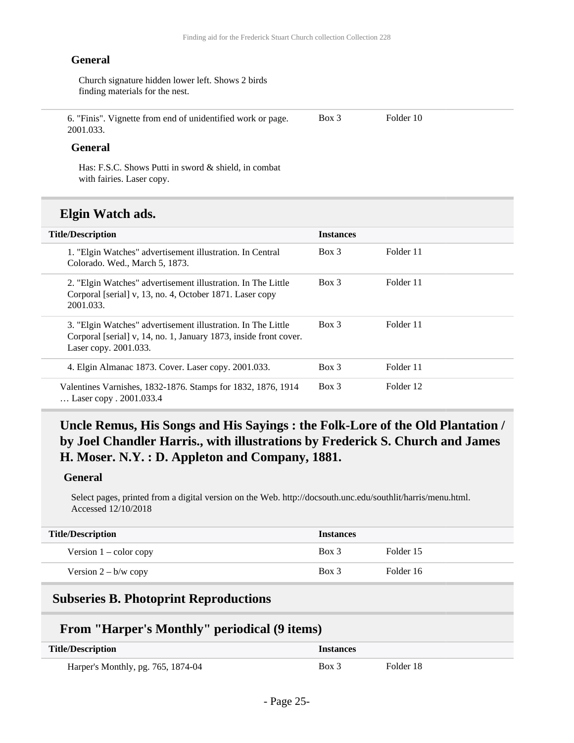#### **General**

Church signature hidden lower left. Shows 2 birds finding materials for the nest.

6. "Finis". Vignette from end of unidentified work or page. 2001.033.

Box 3 Folder 10

#### **General**

Has: F.S.C. Shows Putti in sword & shield, in combat with fairies. Laser copy.

### **Elgin Watch ads.**

| <b>Title/Description</b>                                                                                                                                   | <b>Instances</b> |           |
|------------------------------------------------------------------------------------------------------------------------------------------------------------|------------------|-----------|
| 1. "Elgin Watches" advertisement illustration. In Central<br>Colorado. Wed., March 5, 1873.                                                                | Box 3            | Folder 11 |
| 2. "Elgin Watches" advertisement illustration. In The Little<br>Corporal [serial] v, 13, no. 4, October 1871. Laser copy<br>2001.033.                      | Box 3            | Folder 11 |
| 3. "Elgin Watches" advertisement illustration. In The Little<br>Corporal [serial] v, 14, no. 1, January 1873, inside front cover.<br>Laser copy. 2001.033. | $Box$ 3          | Folder 11 |
| 4. Elgin Almanac 1873. Cover. Laser copy. 2001.033.                                                                                                        | $Box$ 3          | Folder 11 |
| Valentines Varnishes, 1832-1876. Stamps for 1832, 1876, 1914<br>Laser copy . 2001.033.4                                                                    | $Box$ 3          | Folder 12 |

### **Uncle Remus, His Songs and His Sayings : the Folk-Lore of the Old Plantation / by Joel Chandler Harris., with illustrations by Frederick S. Church and James H. Moser. N.Y. : D. Appleton and Company, 1881.**

#### **General**

Select pages, printed from a digital version on the Web. http://docsouth.unc.edu/southlit/harris/menu.html. Accessed 12/10/2018

| <b>Title/Description</b> | <b>Instances</b> |           |
|--------------------------|------------------|-----------|
| Version $1 -$ color copy | $Box$ 3          | Folder 15 |
| Version $2 - b/w$ copy   | $Box$ 3          | Folder 16 |

#### <span id="page-24-0"></span>**Subseries B. Photoprint Reproductions**

### **From "Harper's Monthly" periodical (9 items)**

| <b>Title/Description</b>           | Instances |           |
|------------------------------------|-----------|-----------|
| Harper's Monthly, pg. 765, 1874-04 | Box 3     | Folder 18 |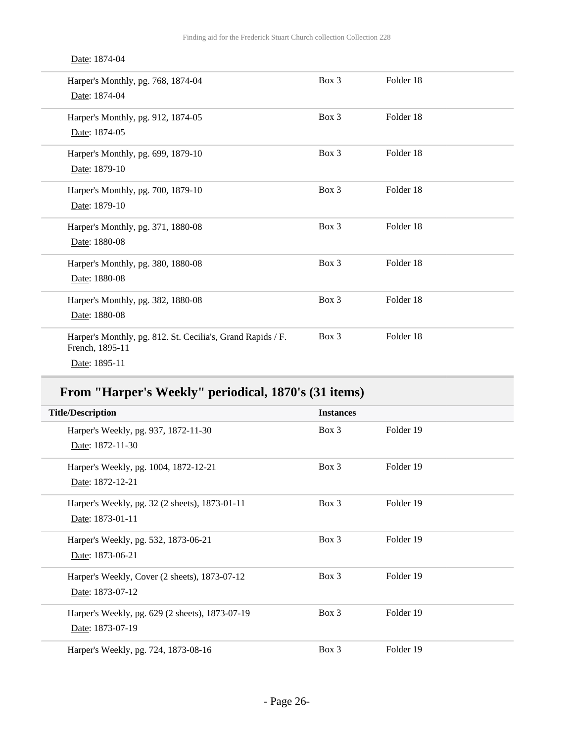#### Date: 1874-04

| Harper's Monthly, pg. 768, 1874-04<br>Date: 1874-04                                             | $Box$ 3 | Folder 18 |  |
|-------------------------------------------------------------------------------------------------|---------|-----------|--|
| Harper's Monthly, pg. 912, 1874-05<br>Date: 1874-05                                             | Box 3   | Folder 18 |  |
| Harper's Monthly, pg. 699, 1879-10<br>Date: 1879-10                                             | $Box$ 3 | Folder 18 |  |
| Harper's Monthly, pg. 700, 1879-10<br>Date: 1879-10                                             | Box 3   | Folder 18 |  |
| Harper's Monthly, pg. 371, 1880-08<br>Date: 1880-08                                             | Box 3   | Folder 18 |  |
| Harper's Monthly, pg. 380, 1880-08<br>Date: 1880-08                                             | Box 3   | Folder 18 |  |
| Harper's Monthly, pg. 382, 1880-08<br>Date: 1880-08                                             | Box 3   | Folder 18 |  |
| Harper's Monthly, pg. 812. St. Cecilia's, Grand Rapids / F.<br>French, 1895-11<br>Date: 1895-11 | Box 3   | Folder 18 |  |

## **From "Harper's Weekly" periodical, 1870's (31 items)**

| <b>Title/Description</b>                        | <b>Instances</b> |           |  |
|-------------------------------------------------|------------------|-----------|--|
| Harper's Weekly, pg. 937, 1872-11-30            | $Box\ 3$         | Folder 19 |  |
| Date: 1872-11-30                                |                  |           |  |
| Harper's Weekly, pg. 1004, 1872-12-21           | $Box\ 3$         | Folder 19 |  |
| Date: 1872-12-21                                |                  |           |  |
| Harper's Weekly, pg. 32 (2 sheets), 1873-01-11  | $Box\ 3$         | Folder 19 |  |
| Date: 1873-01-11                                |                  |           |  |
| Harper's Weekly, pg. 532, 1873-06-21            | $Box\ 3$         | Folder 19 |  |
| Date: 1873-06-21                                |                  |           |  |
| Harper's Weekly, Cover (2 sheets), 1873-07-12   | Box 3            | Folder 19 |  |
| Date: 1873-07-12                                |                  |           |  |
| Harper's Weekly, pg. 629 (2 sheets), 1873-07-19 | $Box\ 3$         | Folder 19 |  |
| Date: 1873-07-19                                |                  |           |  |
| Harper's Weekly, pg. 724, 1873-08-16            | $Box\ 3$         | Folder 19 |  |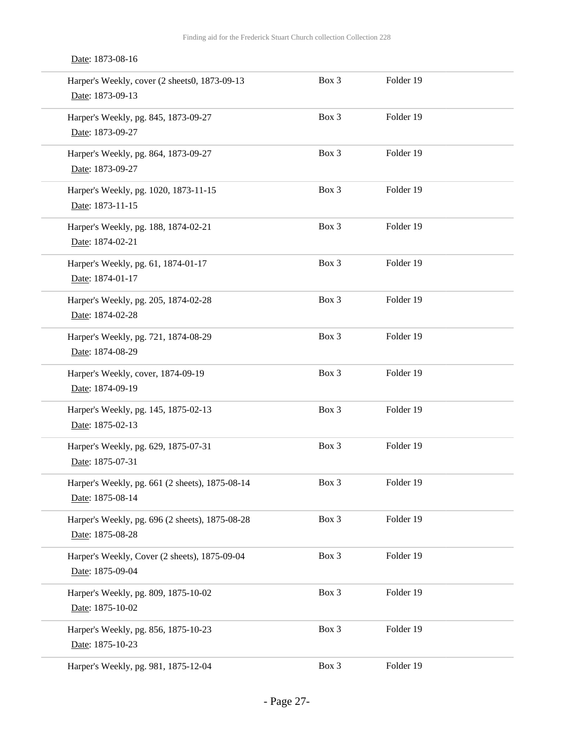|  |  | Date: 1873-08-16 |  |
|--|--|------------------|--|
|--|--|------------------|--|

| Harper's Weekly, cover (2 sheets0, 1873-09-13<br>Date: 1873-09-13   | Box 3 | Folder 19 |  |
|---------------------------------------------------------------------|-------|-----------|--|
| Harper's Weekly, pg. 845, 1873-09-27<br>Date: 1873-09-27            | Box 3 | Folder 19 |  |
| Harper's Weekly, pg. 864, 1873-09-27<br>Date: 1873-09-27            | Box 3 | Folder 19 |  |
| Harper's Weekly, pg. 1020, 1873-11-15<br>Date: 1873-11-15           | Box 3 | Folder 19 |  |
| Harper's Weekly, pg. 188, 1874-02-21<br>Date: 1874-02-21            | Box 3 | Folder 19 |  |
| Harper's Weekly, pg. 61, 1874-01-17<br>Date: 1874-01-17             | Box 3 | Folder 19 |  |
| Harper's Weekly, pg. 205, 1874-02-28<br>Date: 1874-02-28            | Box 3 | Folder 19 |  |
| Harper's Weekly, pg. 721, 1874-08-29<br>Date: 1874-08-29            | Box 3 | Folder 19 |  |
| Harper's Weekly, cover, 1874-09-19<br>Date: 1874-09-19              | Box 3 | Folder 19 |  |
| Harper's Weekly, pg. 145, 1875-02-13<br>Date: 1875-02-13            | Box 3 | Folder 19 |  |
| Harper's Weekly, pg. 629, 1875-07-31<br>Date: 1875-07-31            | Box 3 | Folder 19 |  |
| Harper's Weekly, pg. 661 (2 sheets), 1875-08-14<br>Date: 1875-08-14 | Box 3 | Folder 19 |  |
| Harper's Weekly, pg. 696 (2 sheets), 1875-08-28<br>Date: 1875-08-28 | Box 3 | Folder 19 |  |
| Harper's Weekly, Cover (2 sheets), 1875-09-04<br>Date: 1875-09-04   | Box 3 | Folder 19 |  |
| Harper's Weekly, pg. 809, 1875-10-02<br>Date: 1875-10-02            | Box 3 | Folder 19 |  |
| Harper's Weekly, pg. 856, 1875-10-23<br>Date: 1875-10-23            | Box 3 | Folder 19 |  |
| Harper's Weekly, pg. 981, 1875-12-04                                | Box 3 | Folder 19 |  |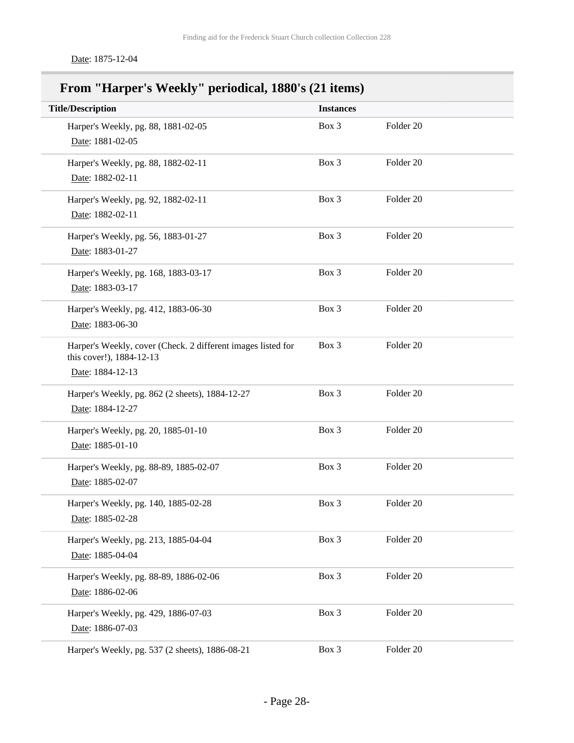Date: 1875-12-04

## **From "Harper's Weekly" periodical, 1880's (21 items)**

| <b>Title/Description</b>                                                                                     | <b>Instances</b> |           |  |
|--------------------------------------------------------------------------------------------------------------|------------------|-----------|--|
| Harper's Weekly, pg. 88, 1881-02-05<br>Date: 1881-02-05                                                      | Box 3            | Folder 20 |  |
| Harper's Weekly, pg. 88, 1882-02-11<br>Date: 1882-02-11                                                      | Box 3            | Folder 20 |  |
| Harper's Weekly, pg. 92, 1882-02-11<br>Date: 1882-02-11                                                      | Box 3            | Folder 20 |  |
| Harper's Weekly, pg. 56, 1883-01-27<br>Date: 1883-01-27                                                      | Box 3            | Folder 20 |  |
| Harper's Weekly, pg. 168, 1883-03-17<br>Date: 1883-03-17                                                     | Box 3            | Folder 20 |  |
| Harper's Weekly, pg. 412, 1883-06-30<br>Date: 1883-06-30                                                     | Box 3            | Folder 20 |  |
| Harper's Weekly, cover (Check. 2 different images listed for<br>this cover!), 1884-12-13<br>Date: 1884-12-13 | Box 3            | Folder 20 |  |
| Harper's Weekly, pg. 862 (2 sheets), 1884-12-27<br>Date: 1884-12-27                                          | Box 3            | Folder 20 |  |
| Harper's Weekly, pg. 20, 1885-01-10<br>Date: 1885-01-10                                                      | Box 3            | Folder 20 |  |
| Harper's Weekly, pg. 88-89, 1885-02-07<br>Date: 1885-02-07                                                   | Box 3            | Folder 20 |  |
| Harper's Weekly, pg. 140, 1885-02-28<br>Date: 1885-02-28                                                     | Box 3            | Folder 20 |  |
| Harper's Weekly, pg. 213, 1885-04-04<br>Date: 1885-04-04                                                     | Box 3            | Folder 20 |  |
| Harper's Weekly, pg. 88-89, 1886-02-06<br>Date: 1886-02-06                                                   | Box 3            | Folder 20 |  |
| Harper's Weekly, pg. 429, 1886-07-03<br>Date: 1886-07-03                                                     | Box 3            | Folder 20 |  |
| Harper's Weekly, pg. 537 (2 sheets), 1886-08-21                                                              | Box 3            | Folder 20 |  |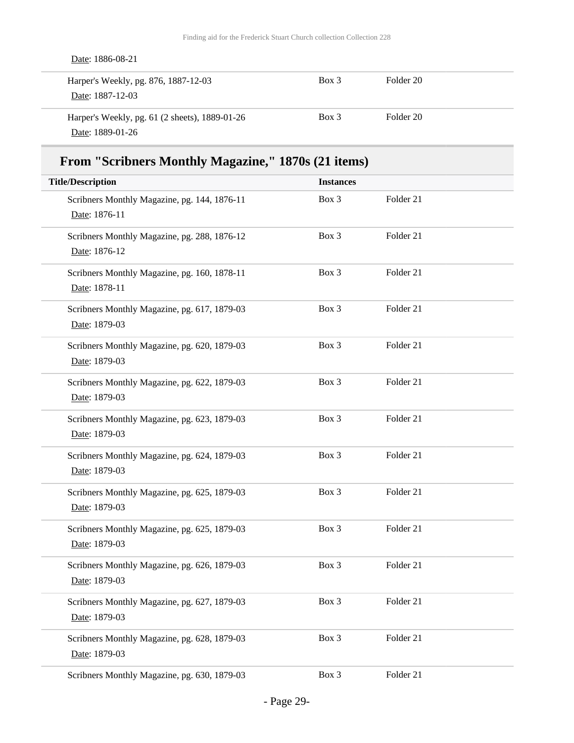| Date: 1886-08-21                                                   |         |           |  |
|--------------------------------------------------------------------|---------|-----------|--|
| Harper's Weekly, pg. 876, 1887-12-03<br>Date: 1887-12-03           | $Box$ 3 | Folder 20 |  |
| Harper's Weekly, pg. 61 (2 sheets), 1889-01-26<br>Date: 1889-01-26 | $Box$ 3 | Folder 20 |  |

## **From "Scribners Monthly Magazine," 1870s (21 items)**

| <b>Title/Description</b>                                      | <b>Instances</b> |           |
|---------------------------------------------------------------|------------------|-----------|
| Scribners Monthly Magazine, pg. 144, 1876-11<br>Date: 1876-11 | Box 3            | Folder 21 |
| Scribners Monthly Magazine, pg. 288, 1876-12<br>Date: 1876-12 | Box 3            | Folder 21 |
| Scribners Monthly Magazine, pg. 160, 1878-11<br>Date: 1878-11 | Box 3            | Folder 21 |
| Scribners Monthly Magazine, pg. 617, 1879-03<br>Date: 1879-03 | Box 3            | Folder 21 |
| Scribners Monthly Magazine, pg. 620, 1879-03<br>Date: 1879-03 | Box 3            | Folder 21 |
| Scribners Monthly Magazine, pg. 622, 1879-03<br>Date: 1879-03 | Box 3            | Folder 21 |
| Scribners Monthly Magazine, pg. 623, 1879-03<br>Date: 1879-03 | Box 3            | Folder 21 |
| Scribners Monthly Magazine, pg. 624, 1879-03<br>Date: 1879-03 | Box 3            | Folder 21 |
| Scribners Monthly Magazine, pg. 625, 1879-03<br>Date: 1879-03 | Box 3            | Folder 21 |
| Scribners Monthly Magazine, pg. 625, 1879-03<br>Date: 1879-03 | Box 3            | Folder 21 |
| Scribners Monthly Magazine, pg. 626, 1879-03<br>Date: 1879-03 | Box 3            | Folder 21 |
| Scribners Monthly Magazine, pg. 627, 1879-03<br>Date: 1879-03 | Box 3            | Folder 21 |
| Scribners Monthly Magazine, pg. 628, 1879-03<br>Date: 1879-03 | Box 3            | Folder 21 |
| Scribners Monthly Magazine, pg. 630, 1879-03                  | Box 3            | Folder 21 |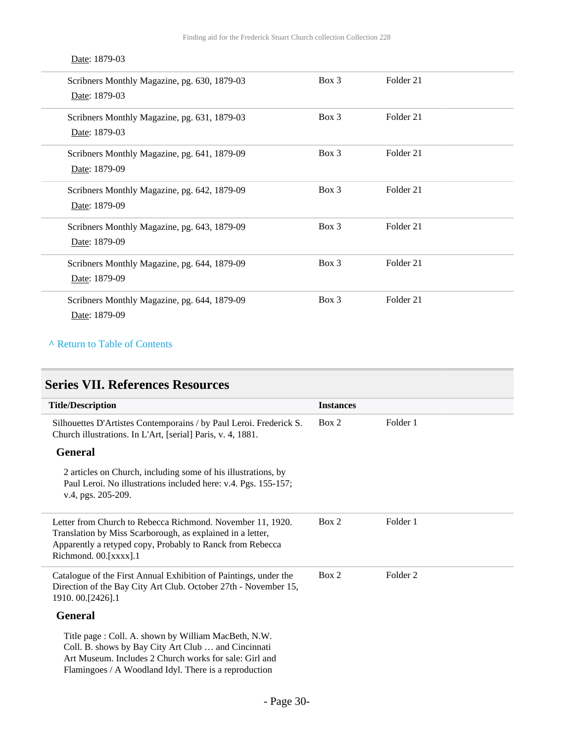### Date: 1879-03

| Scribners Monthly Magazine, pg. 630, 1879-03<br>Date: 1879-03 | $Box\ 3$ | Folder 21 |  |
|---------------------------------------------------------------|----------|-----------|--|
| Scribners Monthly Magazine, pg. 631, 1879-03<br>Date: 1879-03 | $Box\ 3$ | Folder 21 |  |
| Scribners Monthly Magazine, pg. 641, 1879-09<br>Date: 1879-09 | $Box\ 3$ | Folder 21 |  |
| Scribners Monthly Magazine, pg. 642, 1879-09<br>Date: 1879-09 | Box 3    | Folder 21 |  |
| Scribners Monthly Magazine, pg. 643, 1879-09<br>Date: 1879-09 | Box 3    | Folder 21 |  |
| Scribners Monthly Magazine, pg. 644, 1879-09<br>Date: 1879-09 | $Box\ 3$ | Folder 21 |  |
| Scribners Monthly Magazine, pg. 644, 1879-09<br>Date: 1879-09 | $Box\ 3$ | Folder 21 |  |

#### **^** [Return to Table of Contents](#page-1-0)

### <span id="page-29-0"></span>**Series VII. References Resources**

| <b>Title/Description</b>                                                                                                                                                                                                       | <b>Instances</b> |          |
|--------------------------------------------------------------------------------------------------------------------------------------------------------------------------------------------------------------------------------|------------------|----------|
| Silhouettes D'Artistes Contemporains / by Paul Leroi. Frederick S.<br>Church illustrations. In L'Art, [serial] Paris, v. 4, 1881.                                                                                              | Box 2            | Folder 1 |
| <b>General</b>                                                                                                                                                                                                                 |                  |          |
| 2 articles on Church, including some of his illustrations, by<br>Paul Leroi. No illustrations included here: v.4. Pgs. 155-157;<br>v.4, pgs. 205-209.                                                                          |                  |          |
| Letter from Church to Rebecca Richmond. November 11, 1920.<br>Translation by Miss Scarborough, as explained in a letter,<br>Apparently a retyped copy, Probably to Ranck from Rebecca<br>Richmond. 00.[xxxx].1                 | Box 2            | Folder 1 |
| Catalogue of the First Annual Exhibition of Paintings, under the<br>Direction of the Bay City Art Club. October 27th - November 15,<br>1910.00.[2426].1                                                                        | Box 2            | Folder 2 |
| <b>General</b>                                                                                                                                                                                                                 |                  |          |
| Title page : Coll. A. shown by William MacBeth, N.W.<br>Coll. B. shows by Bay City Art Club  and Cincinnati<br>Art Museum. Includes 2 Church works for sale: Girl and<br>Flamingoes / A Woodland Idyl. There is a reproduction |                  |          |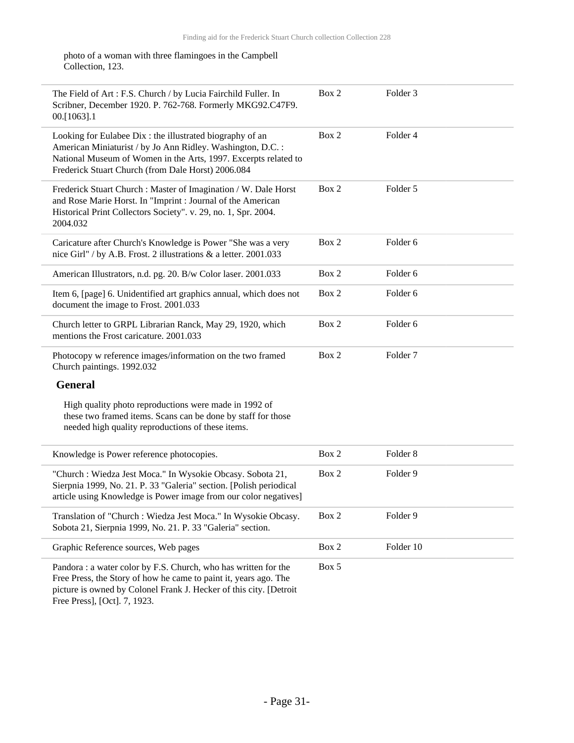photo of a woman with three flamingoes in the Campbell Collection, 123.

| The Field of Art : F.S. Church / by Lucia Fairchild Fuller. In<br>Scribner, December 1920. P. 762-768. Formerly MKG92.C47F9.<br>00.[1063].1                                                                                                     | Box 2 | Folder 3            |
|-------------------------------------------------------------------------------------------------------------------------------------------------------------------------------------------------------------------------------------------------|-------|---------------------|
| Looking for Eulabee Dix: the illustrated biography of an<br>American Miniaturist / by Jo Ann Ridley. Washington, D.C.:<br>National Museum of Women in the Arts, 1997. Excerpts related to<br>Frederick Stuart Church (from Dale Horst) 2006.084 | Box 2 | Folder 4            |
| Frederick Stuart Church : Master of Imagination / W. Dale Horst<br>and Rose Marie Horst. In "Imprint : Journal of the American<br>Historical Print Collectors Society". v. 29, no. 1, Spr. 2004.<br>2004.032                                    | Box 2 | Folder 5            |
| Caricature after Church's Knowledge is Power "She was a very<br>nice Girl" / by A.B. Frost. 2 illustrations & a letter. 2001.033                                                                                                                | Box 2 | Folder 6            |
| American Illustrators, n.d. pg. 20. B/w Color laser. 2001.033                                                                                                                                                                                   | Box 2 | Folder 6            |
| Item 6, [page] 6. Unidentified art graphics annual, which does not<br>document the image to Frost. 2001.033                                                                                                                                     | Box 2 | Folder <sub>6</sub> |
| Church letter to GRPL Librarian Ranck, May 29, 1920, which<br>mentions the Frost caricature. 2001.033                                                                                                                                           | Box 2 | Folder 6            |
| Photocopy w reference images/information on the two framed<br>Church paintings. 1992.032                                                                                                                                                        | Box 2 | Folder <sub>7</sub> |
| <b>General</b>                                                                                                                                                                                                                                  |       |                     |
| High quality photo reproductions were made in 1992 of<br>these two framed items. Scans can be done by staff for those<br>needed high quality reproductions of these items.                                                                      |       |                     |
| Knowledge is Power reference photocopies.                                                                                                                                                                                                       | Box 2 | Folder <sub>8</sub> |
| "Church : Wiedza Jest Moca." In Wysokie Obcasy. Sobota 21,<br>Sierpnia 1999, No. 21. P. 33 "Galeria" section. [Polish periodical<br>article using Knowledge is Power image from our color negatives]                                            | Box 2 | Folder 9            |
| Translation of "Church : Wiedza Jest Moca." In Wysokie Obcasy.<br>Sobota 21, Sierpnia 1999, No. 21. P. 33 "Galeria" section.                                                                                                                    | Box 2 | Folder 9            |
| Graphic Reference sources, Web pages                                                                                                                                                                                                            | Box 2 | Folder 10           |
| Pandora : a water color by F.S. Church, who has written for the<br>Free Press, the Story of how he came to paint it, years ago. The<br>picture is owned by Colonel Frank J. Hecker of this city. [Detroit<br>Free Press], [Oct]. 7, 1923.       | Box 5 |                     |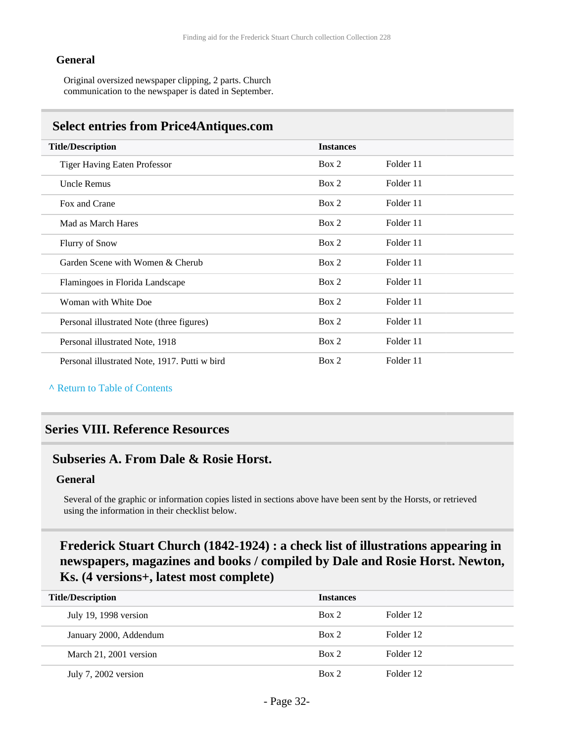#### **General**

Original oversized newspaper clipping, 2 parts. Church communication to the newspaper is dated in September.

#### <span id="page-31-0"></span>**Select entries from Price4Antiques.com**

| <b>Title/Description</b>                      | <b>Instances</b> |           |
|-----------------------------------------------|------------------|-----------|
| <b>Tiger Having Eaten Professor</b>           | Box 2            | Folder 11 |
| <b>Uncle Remus</b>                            | Box 2            | Folder 11 |
| Fox and Crane                                 | Box 2            | Folder 11 |
| Mad as March Hares                            | Box 2            | Folder 11 |
| <b>Flurry of Snow</b>                         | Box 2            | Folder 11 |
| Garden Scene with Women & Cherub              | Box 2            | Folder 11 |
| Flamingoes in Florida Landscape               | Box 2            | Folder 11 |
| Woman with White Doe                          | Box 2            | Folder 11 |
| Personal illustrated Note (three figures)     | Box 2            | Folder 11 |
| Personal illustrated Note, 1918               | Box 2            | Folder 11 |
| Personal illustrated Note, 1917. Putti w bird | Box 2            | Folder 11 |

**^** [Return to Table of Contents](#page-1-0)

### <span id="page-31-1"></span>**Series VIII. Reference Resources**

#### <span id="page-31-2"></span>**Subseries A. From Dale & Rosie Horst.**

#### **General**

Several of the graphic or information copies listed in sections above have been sent by the Horsts, or retrieved using the information in their checklist below.

### **Frederick Stuart Church (1842-1924) : a check list of illustrations appearing in newspapers, magazines and books / compiled by Dale and Rosie Horst. Newton, Ks. (4 versions+, latest most complete)**

| <b>Title/Description</b> |                        | <b>Instances</b> |           |  |
|--------------------------|------------------------|------------------|-----------|--|
|                          | July 19, 1998 version  | Box 2            | Folder 12 |  |
|                          | January 2000, Addendum | Box 2            | Folder 12 |  |
|                          | March 21, 2001 version | Box 2            | Folder 12 |  |
|                          | July 7, 2002 version   | Box 2            | Folder 12 |  |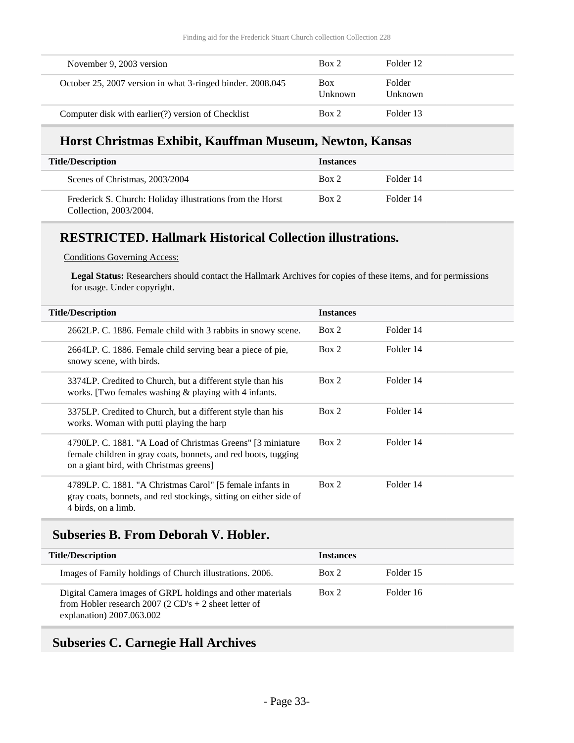| November 9, 2003 version                                   | Box 2                        | Folder 12                |
|------------------------------------------------------------|------------------------------|--------------------------|
| October 25, 2007 version in what 3-ringed binder. 2008.045 | <b>Box</b><br><b>Unknown</b> | Folder<br><b>Unknown</b> |
| Computer disk with earlier(?) version of Checklist         | Box 2                        | Folder 13                |

### **Horst Christmas Exhibit, Kauffman Museum, Newton, Kansas**

| <b>Title/Description</b>                                                            | <b>Instances</b> |           |
|-------------------------------------------------------------------------------------|------------------|-----------|
| Scenes of Christmas, 2003/2004                                                      | Box 2            | Folder 14 |
| Frederick S. Church: Holiday illustrations from the Horst<br>Collection, 2003/2004. | Box 2            | Folder 14 |

### **RESTRICTED. Hallmark Historical Collection illustrations.**

Conditions Governing Access:

**Legal Status:** Researchers should contact the Hallmark Archives for copies of these items, and for permissions for usage. Under copyright.

| <b>Title/Description</b> |                                                                                                                                                                         | <b>Instances</b> |           |
|--------------------------|-------------------------------------------------------------------------------------------------------------------------------------------------------------------------|------------------|-----------|
|                          | 2662LP. C. 1886. Female child with 3 rabbits in snowy scene.                                                                                                            | Box 2            | Folder 14 |
|                          | 2664LP. C. 1886. Female child serving bear a piece of pie,<br>snowy scene, with birds.                                                                                  | Box 2            | Folder 14 |
|                          | 3374LP. Credited to Church, but a different style than his<br>works. [Two females washing $&$ playing with 4 infants.]                                                  | Box 2            | Folder 14 |
|                          | 3375LP. Credited to Church, but a different style than his<br>works. Woman with putti playing the harp                                                                  | Box 2            | Folder 14 |
|                          | 4790LP. C. 1881. "A Load of Christmas Greens" [3 miniature<br>female children in gray coats, bonnets, and red boots, tugging<br>on a giant bird, with Christmas greens] | Box 2            | Folder 14 |
|                          | 4789LP. C. 1881. "A Christmas Carol" [5 female infants in<br>gray coats, bonnets, and red stockings, sitting on either side of<br>4 birds, on a limb.                   | Box 2            | Folder 14 |

#### <span id="page-32-0"></span>**Subseries B. From Deborah V. Hobler.**

| <b>Title/Description</b>                                                                                                                         | <b>Instances</b> |           |
|--------------------------------------------------------------------------------------------------------------------------------------------------|------------------|-----------|
| Images of Family holdings of Church illustrations. 2006.                                                                                         | Box 2            | Folder 15 |
| Digital Camera images of GRPL holdings and other materials<br>from Hobler research 2007 (2 CD's + 2 sheet letter of<br>explanation) 2007.063.002 | Box 2            | Folder 16 |

### <span id="page-32-1"></span>**Subseries C. Carnegie Hall Archives**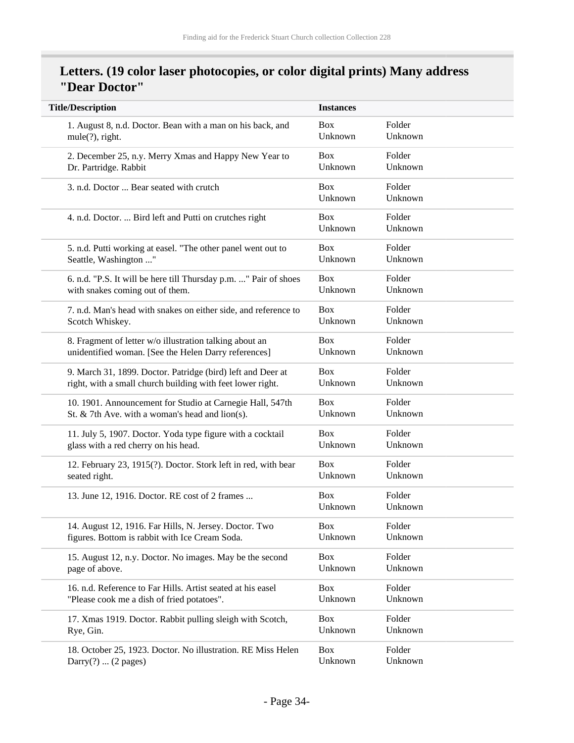### **Letters. (19 color laser photocopies, or color digital prints) Many address "Dear Doctor"**

| <b>Title/Description</b>                                         | <b>Instances</b>      |                   |
|------------------------------------------------------------------|-----------------------|-------------------|
| 1. August 8, n.d. Doctor. Bean with a man on his back, and       | <b>Box</b>            | Folder            |
| mule(?), right.                                                  | Unknown               | Unknown           |
| 2. December 25, n.y. Merry Xmas and Happy New Year to            | <b>Box</b>            | Folder            |
| Dr. Partridge. Rabbit                                            | Unknown               | Unknown           |
| 3. n.d. Doctor  Bear seated with crutch                          | <b>Box</b><br>Unknown | Folder<br>Unknown |
| 4. n.d. Doctor.  Bird left and Putti on crutches right           | <b>Box</b><br>Unknown | Folder<br>Unknown |
| 5. n.d. Putti working at easel. "The other panel went out to     | <b>Box</b>            | Folder            |
| Seattle, Washington "                                            | Unknown               | Unknown           |
| 6. n.d. "P.S. It will be here till Thursday p.m. " Pair of shoes | <b>Box</b>            | Folder            |
| with snakes coming out of them.                                  | Unknown               | Unknown           |
| 7. n.d. Man's head with snakes on either side, and reference to  | <b>Box</b>            | Folder            |
| Scotch Whiskey.                                                  | Unknown               | Unknown           |
| 8. Fragment of letter w/o illustration talking about an          | <b>Box</b>            | Folder            |
| unidentified woman. [See the Helen Darry references]             | Unknown               | Unknown           |
| 9. March 31, 1899. Doctor. Patridge (bird) left and Deer at      | <b>Box</b>            | Folder            |
| right, with a small church building with feet lower right.       | Unknown               | Unknown           |
| 10. 1901. Announcement for Studio at Carnegie Hall, 547th        | <b>Box</b>            | Folder            |
| St. & 7th Ave. with a woman's head and $\text{lion}(s)$ .        | Unknown               | Unknown           |
| 11. July 5, 1907. Doctor. Yoda type figure with a cocktail       | <b>Box</b>            | Folder            |
| glass with a red cherry on his head.                             | Unknown               | Unknown           |
| 12. February 23, 1915(?). Doctor. Stork left in red, with bear   | <b>Box</b>            | Folder            |
| seated right.                                                    | Unknown               | Unknown           |
| 13. June 12, 1916. Doctor. RE cost of 2 frames                   | <b>Box</b><br>Unknown | Folder<br>Unknown |
| 14. August 12, 1916. Far Hills, N. Jersey. Doctor. Two           | Box                   | Folder            |
| figures. Bottom is rabbit with Ice Cream Soda.                   | Unknown               | Unknown           |
| 15. August 12, n.y. Doctor. No images. May be the second         | <b>Box</b>            | Folder            |
| page of above.                                                   | Unknown               | Unknown           |
| 16. n.d. Reference to Far Hills. Artist seated at his easel      | <b>Box</b>            | Folder            |
| "Please cook me a dish of fried potatoes".                       | Unknown               | Unknown           |
| 17. Xmas 1919. Doctor. Rabbit pulling sleigh with Scotch,        | <b>Box</b>            | Folder            |
| Rye, Gin.                                                        | Unknown               | Unknown           |
| 18. October 25, 1923. Doctor. No illustration. RE Miss Helen     | <b>Box</b>            | Folder            |
| Darry $(?) \dots (2$ pages)                                      | Unknown               | Unknown           |